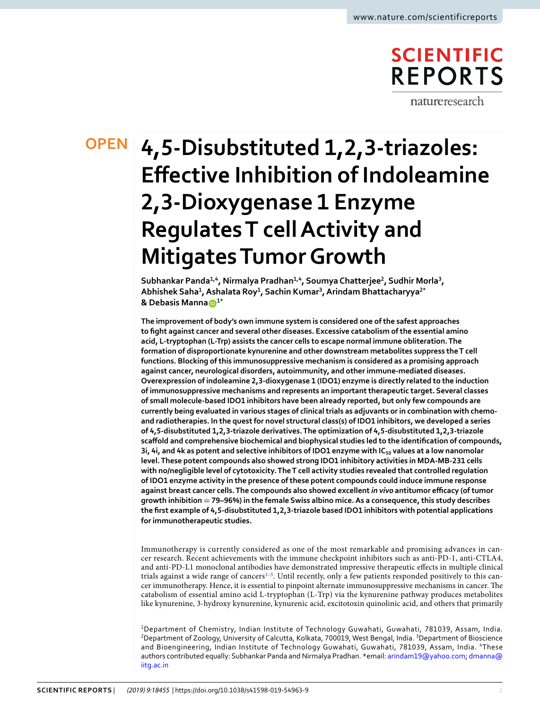# **SCIENTIFIC REPORTS** natureresearch

# **4,5-Disubstituted 1,2,3-triazoles: OPENEffective Inhibition of Indoleamine 2,3-Dioxygenase 1 Enzyme Regulates T cell Activity and Mitigates Tumor Growth**

**Subhankar Panda1,4, Nirmalya Pradhan1,4, Soumya Chatterjee<sup>2</sup> , Sudhir Morla<sup>3</sup> , Abhishek Saha<sup>1</sup> , Ashalata Roy<sup>1</sup> , Sachin Kumar<sup>3</sup> , Arindam Bhattacharyya2\* & Debasis Manna1\***

**The improvement of body's own immune system is considered one of the safest approaches to fight against cancer and several other diseases. Excessive catabolism of the essential amino acid, L-tryptophan (L-Trp) assists the cancer cells to escape normal immune obliteration. The formation of disproportionate kynurenine and other downstream metabolites suppress the T cell functions. Blocking of this immunosuppressive mechanism is considered as a promising approach against cancer, neurological disorders, autoimmunity, and other immune-mediated diseases. Overexpression of indoleamine 2,3-dioxygenase 1 (IDO1) enzyme is directly related to the induction of immunosuppressive mechanisms and represents an important therapeutic target. Several classes of small molecule-based IDO1 inhibitors have been already reported, but only few compounds are currently being evaluated in various stages of clinical trials as adjuvants or in combination with chemoand radiotherapies. In the quest for novel structural class(s) of IDO1 inhibitors, we developed a series of 4,5-disubstituted 1,2,3-triazole derivatives. The optimization of 4,5-disubstituted 1,2,3-triazole scaffold and comprehensive biochemical and biophysical studies led to the identification of compounds, 3i, 4i, and 4k as potent and selective inhibitors of IDO1 enzyme with IC50 values at a low nanomolar level. These potent compounds also showed strong IDO1 inhibitory activities in MDA-MB-231 cells with no/negligible level of cytotoxicity. The T cell activity studies revealed that controlled regulation of IDO1 enzyme activity in the presence of these potent compounds could induce immune response against breast cancer cells. The compounds also showed excellent** *in vivo* **antitumor efficacy (of tumor growth inhibition = 79–96%) in the female Swiss albino mice. As a consequence, this study describes the first example of 4,5-disubstituted 1,2,3-triazole based IDO1 inhibitors with potential applications for immunotherapeutic studies.**

Immunotherapy is currently considered as one of the most remarkable and promising advances in cancer research. Recent achievements with the immune checkpoint inhibitors such as anti-PD-1, anti-CTLA4, and anti-PD-L1 monoclonal antibodies have demonstrated impressive therapeutic effects in multiple clinical trials against a wide range of cancers<sup>[1](#page-13-0)-5</sup>. Until recently, only a few patients responded positively to this cancer immunotherapy. Hence, it is essential to pinpoint alternate immunosuppressive mechanisms in cancer. The catabolism of essential amino acid L-tryptophan (L-Trp) via the kynurenine pathway produces metabolites like kynurenine, 3-hydroxy kynurenine, kynurenic acid, excitotoxin quinolinic acid, and others that primarily

<sup>1</sup>Department of Chemistry, Indian Institute of Technology Guwahati, Guwahati, 781039, Assam, India. <sup>2</sup>Department of Zoology, University of Calcutta, Kolkata, 700019, West Bengal, India. <sup>3</sup>Department of Bioscience and Bioengineering, Indian Institute of Technology Guwahati, Guwahati, 781039, Assam, India. <sup>4</sup>These authors contributed equally: Subhankar Panda and Nirmalya Pradhan. \*email: [arindam19@yahoo.com](mailto:arindam19@yahoo.com); [dmanna@](mailto:dmanna@iitg.ac.in) [iitg.ac.in](mailto:dmanna@iitg.ac.in)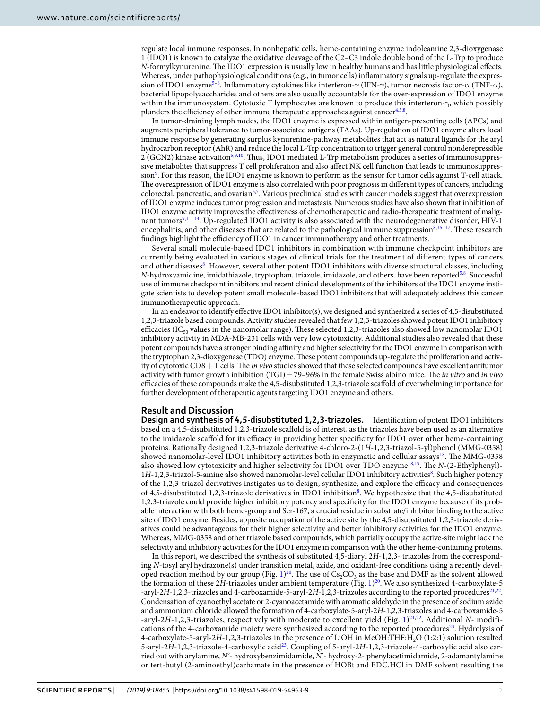regulate local immune responses. In nonhepatic cells, heme-containing enzyme indoleamine 2,3-dioxygenase 1 (IDO1) is known to catalyze the oxidative cleavage of the C2–C3 indole double bond of the L-Trp to produce N-formylkynurenine. The IDO1 expression is usually low in healthy humans and has little physiological effects. Whereas, under pathophysiological conditions (e.g., in tumor cells) inflammatory signals up-regulate the expres-sion of IDO1 enzyme<sup>[5–](#page-13-1)[8](#page-13-2)</sup>. Inflammatory cytokines like interferon- $\gamma$  (IFN- $\gamma$ ), tumor necrosis factor- $\alpha$  (TNF- $\alpha$ ), bacterial lipopolysaccharides and others are also usually accountable for the over-expression of IDO1 enzyme within the immunosystem. Cytotoxic T lymphocytes are known to produce this interferon-γ, which possibly plunders the efficiency of other immune therapeutic approaches against cancer<sup>[4](#page-13-3)[,5](#page-13-1)[,8](#page-13-2)</sup>.

In tumor-draining lymph nodes, the IDO1 enzyme is expressed within antigen-presenting cells (APCs) and augments peripheral tolerance to tumor-associated antigens (TAAs). Up-regulation of IDO1 enzyme alters local immune response by generating surplus kynurenine-pathway metabolites that act as natural ligands for the aryl hydrocarbon receptor (AhR) and reduce the local L-Trp concentration to trigger general control nonderepressible 2 (GCN2) kinase activation[5](#page-13-1),[9](#page-13-4),[10](#page-13-5). Thus, IDO1 mediated L-Trp metabolism produces a series of immunosuppressive metabolites that suppress T cell proliferation and also affect NK cell function that leads to immunosuppres-sion<sup>[9](#page-13-4)</sup>. For this reason, the IDO1 enzyme is known to perform as the sensor for tumor cells against T-cell attack. The overexpression of IDO1 enzyme is also correlated with poor prognosis in different types of cancers, including colorectal, pancreatic, and ovarian<sup>[6](#page-13-6),[7](#page-13-7)</sup>. Various preclinical studies with cancer models suggest that overexpression of IDO1 enzyme induces tumor progression and metastasis. Numerous studies have also shown that inhibition of IDO1 enzyme activity improves the effectiveness of chemotherapeutic and radio-therapeutic treatment of malig-nant tumors<sup>[9](#page-13-4)[,11](#page-13-8)-14</sup>. Up-regulated IDO1 activity is also associated with the neurodegenerative disorder, HIV-1 encephalitis, and other diseases that are related to the pathological immune suppression[8,](#page-13-2)15-[17](#page-13-11). These research findings highlight the efficiency of IDO1 in cancer immunotherapy and other treatments.

Several small molecule-based IDO1 inhibitors in combination with immune checkpoint inhibitors are currently being evaluated in various stages of clinical trials for the treatment of different types of cancers and other diseases[8](#page-13-2). However, several other potent IDO1 inhibitors with diverse structural classes, including N-hydroxyamidine, imidathiazole, tryptophan, triazole, imidazole, and others. have been reported<sup>[5,](#page-13-1)[8](#page-13-2)</sup>. Successful use of immune checkpoint inhibitors and recent clinical developments of the inhibitors of the IDO1 enzyme instigate scientists to develop potent small molecule-based IDO1 inhibitors that will adequately address this cancer immunotherapeutic approach.

In an endeavor to identify effective IDO1 inhibitor(s), we designed and synthesized a series of 4,5-disubstituted 1,2,3-triazole based compounds. Activity studies revealed that few 1,2,3-triazoles showed potent IDO1 inhibitory efficacies (IC<sub>50</sub> values in the nanomolar range). These selected 1,2,3-triazoles also showed low nanomolar IDO1 inhibitory activity in MDA-MB-231 cells with very low cytotoxicity. Additional studies also revealed that these potent compounds have a stronger binding affinity and higher selectivity for the IDO1 enzyme in comparison with the tryptophan 2,3-dioxygenase (TDO) enzyme. These potent compounds up-regulate the proliferation and activity of cytotoxic  $CD8 + T$  cells. The *in vivo* studies showed that these selected compounds have excellent antitumor activity with tumor growth inhibition  $(TGI) = 79-96\%$  in the female Swiss albino mice. The *in vitro* and *in vivo* efficacies of these compounds make the 4,5-disubstituted 1,2,3-triazole scaffold of overwhelming importance for further development of therapeutic agents targeting IDO1 enzyme and others.

#### **Result and Discussion**

**Design and synthesis of 4,5-disubstituted 1,2,3-triazoles.** Identification of potent IDO1 inhibitors based on a 4,5-disubstituted 1,2,3-triazole scaffold is of interest, as the triazoles have been used as an alternative to the imidazole scaffold for its efficacy in providing better specificity for IDO1 over other heme-containing proteins. Rationally designed 1,2,3-triazole derivative 4-chloro-2-(1H-1,2,3-triazol-5-yl)phenol (MMG-0358) showed nanomolar-level IDO1 inhibitory activities both in enzymatic and cellular assays<sup>[18](#page-13-12)</sup>. The MMG-0358 also showed low cytotoxicity and higher selectivity for IDO1 over TDO enzyme<sup>[18,](#page-13-12)[19](#page-13-13)</sup>. The N-(2-Ethylphenyl)-1H-1,2,3-triazol-5-amine also showed nanomolar-level cellular IDO1 inhibitory activities[8](#page-13-2). Such higher potency of the 1,2,3-triazol derivatives instigates us to design, synthesize, and explore the efficacy and consequences of 4,5-disubstituted 1,2,3-triazole derivatives in IDO1 inhibition<sup>[8](#page-13-2)</sup>. We hypothesize that the 4,5-disubstituted 1,2,3-triazole could provide higher inhibitory potency and specificity for the IDO1 enzyme because of its probable interaction with both heme-group and Ser-167, a crucial residue in substrate/inhibitor binding to the active site of IDO1 enzyme. Besides, apposite occupation of the active site by the 4,5-disubstituted 1,2,3-triazole derivatives could be advantageous for their higher selectivity and better inhibitory activities for the IDO1 enzyme. Whereas, MMG-0358 and other triazole based compounds, which partially occupy the active-site might lack the selectivity and inhibitory activities for the IDO1 enzyme in comparison with the other heme-containing proteins.

In this report, we described the synthesis of substituted 4,5-diaryl 2H-1,2,3- triazoles from the corresponding N-tosyl aryl hydrazone(s) under transition metal, azide, and oxidant-free conditions using a recently developed reaction method by our group (Fig.  $1)^{20}$  $1)^{20}$  $1)^{20}$ . The use of  $Cs_2CO_3$  as the base and DMF as the solvent allowed the formation of these  $2H$ -triazoles under ambient temperature (Fig. [1](#page-2-0))<sup>[20](#page-13-14)</sup>. We also synthesized 4-carboxylate-5 -aryl-2H-1,2,3-triazoles and 4-carboxamide-5-aryl-2H-1,2,3-triazoles according to the reported procedures<sup>[21,](#page-13-15)[22](#page-13-16)</sup>. Condensation of cyanoethyl acetate or 2-cyanoacetamide with aromatic aldehyde in the presence of sodium azide and ammonium chloride allowed the formation of 4-carboxylate-5-aryl-2H-1,2,3-triazoles and 4-carboxamide-5 -aryl-2H-[1](#page-2-0),2,3-triazoles, respectively with moderate to excellent yield (Fig. 1) $^{21,22}$  $^{21,22}$  $^{21,22}$  $^{21,22}$ . Additional N- modifi-cations of the 4-carboxamide moiety were synthesized according to the reported procedures<sup>[23](#page-13-17)</sup>. Hydrolysis of 4-carboxylate-5-aryl-2H-1,2,3-triazoles in the presence of LiOH in MeOH:THF:H2O (1:2:1) solution resulted 5-aryl-2H-1,2,3-triazole-4-carboxylic acid[23](#page-13-17). Coupling of 5-aryl-2H-1,2,3-triazole-4-carboxylic acid also carried out with arylamine, N'- hydroxybenzimidamide, N'- hydroxy-2- phenylacetimidamide, 2-adamantylamine or tert-butyl (2-aminoethyl)carbamate in the presence of HOBt and EDC.HCl in DMF solvent resulting the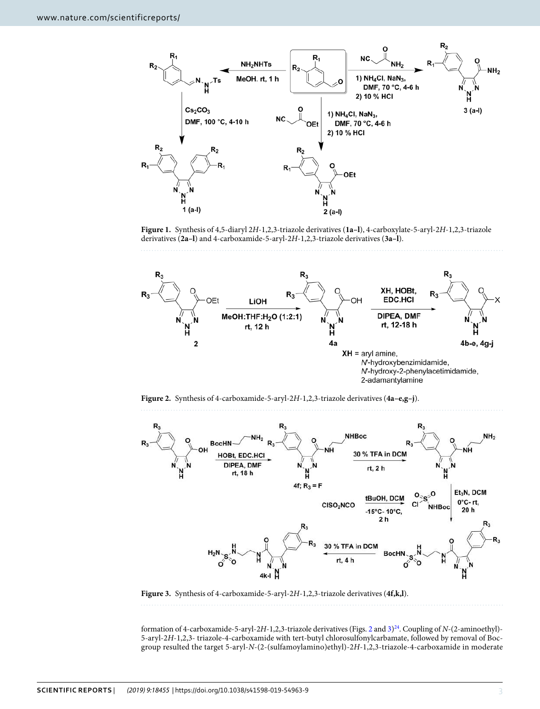

<span id="page-2-0"></span>**Figure 1.** Synthesis of 4,5-diaryl 2H-1,2,3-triazole derivatives (**1a–l**), 4-carboxylate-5-aryl-2H-1,2,3-triazole derivatives (**2a–l**) and 4-carboxamide-5-aryl-2H-1,2,3-triazole derivatives (**3a–l**).



<span id="page-2-1"></span>**Figure 2.** Synthesis of 4-carboxamide-5-aryl-2H-1,2,3-triazole derivatives (**4a–e,g–j**).



<span id="page-2-2"></span>**Figure 3.** Synthesis of 4-carboxamide-5-aryl-2H-1,2,3-triazole derivatives (**4f,k,l**).

formation of 4-carboxamide-5-aryl-2H-1,2,3-triazole derivatives (Figs. [2](#page-2-1) and  $3)^{24}$  $3)^{24}$  $3)^{24}$  $3)^{24}$ . Coupling of N-(2-aminoethyl)-5-aryl-2H-1,2,3- triazole-4-carboxamide with tert-butyl chlorosulfonylcarbamate, followed by removal of Bocgroup resulted the target 5-aryl-N-(2-(sulfamoylamino)ethyl)-2H-1,2,3-triazole-4-carboxamide in moderate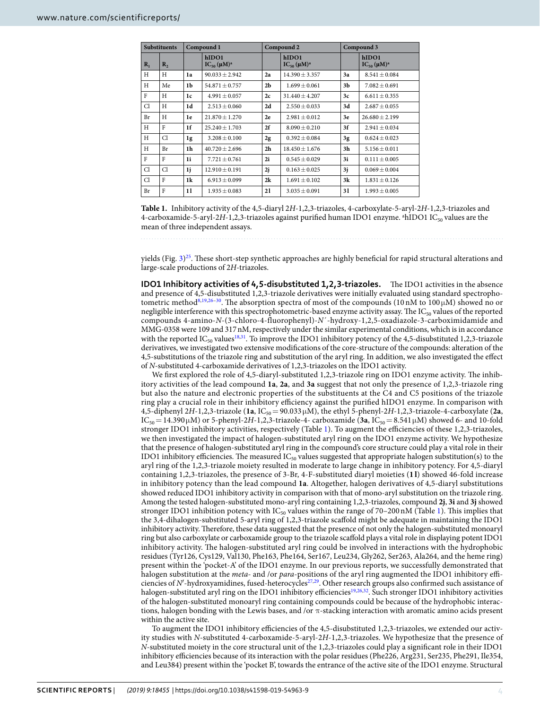<span id="page-3-0"></span>

| <b>Substituents</b> |                  | Compound 1     |                                      |                | Compound 2                           | Compound 3 |                              |  |
|---------------------|------------------|----------------|--------------------------------------|----------------|--------------------------------------|------------|------------------------------|--|
| $R_1$               | $\mathbf{R}_{2}$ |                | hIDO1<br>$IC_{50}$ (µM) <sup>a</sup> |                | hIDO1<br>$IC_{50}$ (µM) <sup>a</sup> |            | hIDO1<br>$IC_{50} (\mu M)^a$ |  |
| H                   | H                | 1a             | $90.033 \pm 2.942$                   | 2a             | $14.390 \pm 3.357$                   | 3a         | $8.541 \pm 0.084$            |  |
| H                   | Me               | 1 <sub>b</sub> | $54.871 \pm 0.757$                   | 2 <sub>b</sub> | $1.699 + 0.061$                      | 3b         | $7.082 \pm 0.691$            |  |
| F                   | H                | 1c             | $4.991 + 0.057$                      | 2c             | $31.440 + 4.207$                     | 3c         | $6.611 + 0.355$              |  |
| Cl                  | H                | 1d             | $2.513 \pm 0.060$                    | 2d             | $2.550 \pm 0.033$                    | 3d         | $2.687 \pm 0.055$            |  |
| Br                  | H                | 1e             | $21.870 \pm 1.270$                   | 2e             | $2.981 \pm 0.012$                    | 3e         | $26.680 \pm 2.199$           |  |
| H                   | F                | 1 <sup>f</sup> | $25.240 \pm 1.703$                   | 2f             | $8.090 \pm 0.210$                    | 3f         | $2.941 \pm 0.034$            |  |
| H                   | Cl               | 1g             | $3.208 \pm 0.100$                    | 2g             | $0.392 + 0.084$                      | 3g         | $0.624 + 0.023$              |  |
| H                   | Br               | 1h             | $40.720 + 2.696$                     | 2 <sub>h</sub> | $18.450 + 1.676$                     | 3h         | $5.156 + 0.011$              |  |
| F                   | F                | 1i             | $7.721 + 0.761$                      | 2i             | $0.545 + 0.029$                      | 3i         | $0.111 + 0.005$              |  |
| Cl                  | Cl               | 1j             | $12.910 + 0.191$                     | 2j             | $0.163 + 0.025$                      | 3j         | $0.069 + 0.004$              |  |
| Cl                  | F                | 1k             | $6.913 \pm 0.099$                    | 2k             | $1.691 \pm 0.102$                    | 3k         | $1.831 \pm 0.126$            |  |
| Br                  | F                | 11             | $1.935 \pm 0.083$                    | 21             | $3.035 \pm 0.091$                    | 31         | $1.993 \pm 0.005$            |  |

**Table 1.** Inhibitory activity of the 4,5-diaryl 2H-1,2,3-triazoles, 4-carboxylate-5-aryl-2H-1,2,3-triazoles and 4-carboxamide-5-aryl-2H-1,2,3-triazoles against purified human IDO1 enzyme. <sup>a</sup>hIDO1 IC<sub>50</sub> values are the mean of three independent assays.

yields (Fig. [3\)](#page-2-2) [25](#page-14-0). These short-step synthetic approaches are highly beneficial for rapid structural alterations and large-scale productions of 2H-triazoles.

**IDO1 Inhibitory activities of 4,5-disubstituted 1,2,3-triazoles.** The IDO1 activities in the absence and presence of 4,5-disubstituted 1,2,3-triazole derivatives were initially evaluated using standard spectropho-tometric method<sup>[8](#page-13-2)[,19](#page-13-13)[,26](#page-14-1)[–30](#page-14-2)</sup>. The absorption spectra of most of the compounds (10 nM to 100  $\mu$ M) showed no or negligible interference with this spectrophotometric-based enzyme activity assay. The  $IC_{50}$  values of the reported compounds 4-amino-N-(3-chloro-4-fluorophenyl)-N´-hydroxy-1,2,5-oxadiazole-3-carboximidamide and MMG-0358 were 109 and 317 nM, respectively under the similar experimental conditions, which is in accordance with the reported  $IC_{50}$  values<sup>[18](#page-13-12)[,31](#page-14-3)</sup>. To improve the IDO1 inhibitory potency of the 4,5-disubstituted 1,2,3-triazole derivatives, we investigated two extensive modifications of the core-structure of the compounds: alteration of the 4,5-substitutions of the triazole ring and substitution of the aryl ring. In addition, we also investigated the effect of N-substituted 4-carboxamide derivatives of 1,2,3-triazoles on the IDO1 activity.

We first explored the role of 4,5-diaryl-substituted 1,2,3-triazole ring on IDO1 enzyme activity. The inhibitory activities of the lead compound **1a**, **2a**, and **3a** suggest that not only the presence of 1,2,3-triazole ring but also the nature and electronic properties of the substituents at the C4 and C5 positions of the triazole ring play a crucial role in their inhibitory efficiency against the purified hIDO1 enzyme. In comparison with 4,5-diphenyl 2H-1,2,3-triazole (**1a**, IC50= 90.033 µM), the ethyl 5-phenyl-2H-1,2,3-triazole-4-carboxylate (**2a**,  $IC_{50} = 14.390 \,\mu M$ ) or 5-phenyl-2H-1,2,3-triazole-4- carboxamide (**3a**,  $IC_{50} = 8.541 \,\mu M$ ) showed 6- and 10-fold stronger IDO1 inhibitory activities, respectively (Table [1\)](#page-3-0). To augment the efficiencies of these 1,2,3-triazoles, we then investigated the impact of halogen-substituted aryl ring on the IDO1 enzyme activity. We hypothesize that the presence of halogen-substituted aryl ring in the compound's core structure could play a vital role in their IDO1 inhibitory efficiencies. The measured IC<sub>50</sub> values suggested that appropriate halogen substitution(s) to the aryl ring of the 1,2,3-triazole moiety resulted in moderate to large change in inhibitory potency. For 4,5-diaryl containing 1,2,3-triazoles, the presence of 3-Br, 4-F-substituted diaryl moieties (**1 l**) showed 46-fold increase in inhibitory potency than the lead compound **1a**. Altogether, halogen derivatives of 4,5-diaryl substitutions showed reduced IDO1 inhibitory activity in comparison with that of mono-aryl substitution on the triazole ring. Among the tested halogen-substituted mono-aryl ring containing 1,2,3-triazoles, compound **2j**, **3i** and **3j** showed stronger IDO[1](#page-3-0) inhibition potency with  $IC_{50}$  values within the range of 70-200 nM (Table 1). This implies that the 3,4-dihalogen-substituted 5-aryl ring of 1,2,3-triazole scaffold might be adequate in maintaining the IDO1 inhibitory activity. Therefore, these data suggested that the presence of not only the halogen-substituted monoaryl ring but also carboxylate or carboxamide group to the triazole scaffold plays a vital role in displaying potent IDO1 inhibitory activity. The halogen-substituted aryl ring could be involved in interactions with the hydrophobic residues (Tyr126, Cys129, Val130, Phe163, Phe164, Ser167, Leu234, Gly262, Ser263, Ala264, and the heme ring) present within the 'pocket-A' of the IDO1 enzyme. In our previous reports, we successfully demonstrated that halogen substitution at the *meta*- and /or *para*-positions of the aryl ring augmented the IDO1 inhibitory effi-ciencies of N'-hydroxyamidines, fused-heterocycles<sup>[27](#page-14-4)[,29](#page-14-5)</sup>. Other research groups also confirmed such assistance of halogen-substituted aryl ring on the IDO1 inhibitory efficiencies<sup>[19](#page-13-13),[26](#page-14-1),[32](#page-14-6)</sup>. Such stronger IDO1 inhibitory activities of the halogen-substituted monoaryl ring containing compounds could be because of the hydrophobic interactions, halogen bonding with the Lewis bases, and /or  $\pi$ -stacking interaction with aromatic amino acids present within the active site.

To augment the IDO1 inhibitory efficiencies of the 4,5-disubstituted 1,2,3-triazoles, we extended our activity studies with N-substituted 4-carboxamide-5-aryl-2H-1,2,3-triazoles. We hypothesize that the presence of N-substituted moiety in the core structural unit of the 1,2,3-triazoles could play a significant role in their IDO1 inhibitory efficiencies because of its interaction with the polar residues (Phe226, Arg231, Ser235, Phe291, Ile354, and Leu384) present within the 'pocket B', towards the entrance of the active site of the IDO1 enzyme. Structural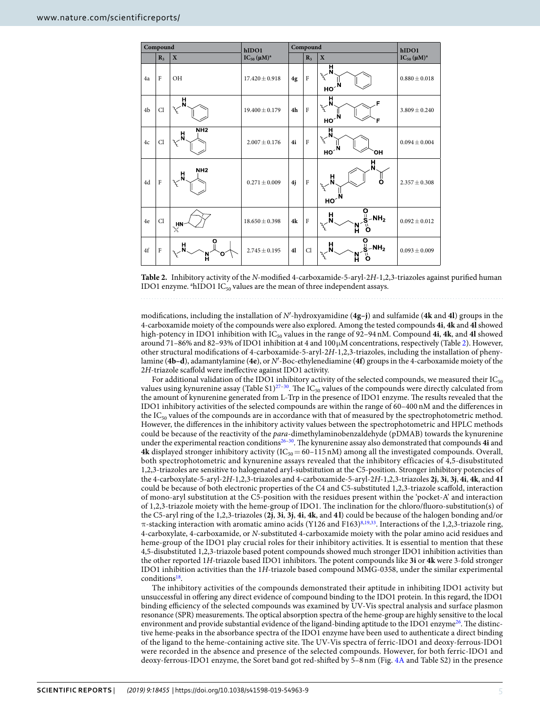<span id="page-4-0"></span>

| Compound       |                |                                                                   | hIDO1               | Compound       |                |                                                                                            | hIDO1               |
|----------------|----------------|-------------------------------------------------------------------|---------------------|----------------|----------------|--------------------------------------------------------------------------------------------|---------------------|
|                | $R_3$          | $\mathbf X$                                                       | $IC_{50} (\mu M)^a$ |                | $R_3$          | $\mathbf X$                                                                                | $IC_{50} (\mu M)^a$ |
| 4a             | $\mathbf{F}$   | <b>OH</b>                                                         | $17.420 \pm 0.918$  | 4g             | $\rm F$        | ᄇ<br>zz<br>но $\mathbf{N}$                                                                 | $0.880 \pm 0.018$   |
| 4 <sub>b</sub> | Cl             | H<br>N<br>z                                                       | $19.400 \pm 0.179$  | 4 <sub>h</sub> | $\overline{F}$ | 'n<br>$\zeta$<br>но $\mathbf{N}$                                                           | $3.809 \pm 0.240$   |
| 4c             | Cl             | NH <sub>2</sub><br>H<br>r<br>S                                    | $2.007 \pm 0.176$   | 4i             | $\overline{F}$ | $\bar{\mathbf{H}}_{\mathbf{y}^{\mathbf{y}^{\prime}}}$<br>но $\tilde{\mathbf{N}}$<br>ЮH     | $0.094 \pm 0.004$   |
| 4d             | $\overline{F}$ | NH <sub>2</sub><br>븠<br>$\mathcal{E}_{\mathcal{E}_{\mathcal{L}}}$ | $0.271 \pm 0.009$   | 4j             | $\rm F$        | H<br>N<br>H,<br>Ö<br>HO <sup>NR</sup>                                                      | $2.357 \pm 0.308$   |
| 4e             | Cl             | $H_N$                                                             | $18.650 \pm 0.398$  | 4k             | $\overline{F}$ | $\overline{0 \n\ \n\ \n\ \nS-NH_2}$<br>$\frac{H}{N}$<br>ő<br>N                             | $0.092 \pm 0.012$   |
| $4f$           | $\overline{F}$ | O<br>H<br>Ω<br>N                                                  | $2.745 \pm 0.195$   | 4 <sub>l</sub> | Cl             | $rac{O}{S^2-NH_2}$<br>$\mathbf{H}^{\mathbf{X}_{\mathbf{X}^{\mathcal{L}}}}$<br>ī۱<br>N<br>H | $0.093 \pm 0.009$   |

**Table 2.** Inhibitory activity of the N-modified 4-carboxamide-5-aryl-2H-1,2,3-triazoles against purified human IDO1 enzyme.  $a<sup>th</sup>$ IDO1 IC<sub>50</sub> values are the mean of three independent assays.

modifications, including the installation of N′-hydroxyamidine (**4g–j**) and sulfamide (**4k** and **4l**) groups in the 4-carboxamide moiety of the compounds were also explored. Among the tested compounds **4i**, **4k** and **4l** showed high-potency in IDO1 inhibition with IC<sub>50</sub> values in the range of 92-94 nM. Compound 4i, 4k, and 4l showed around 71–86% and 82–93% of IDO1 inhibition at 4 and 100 µM concentrations, respectively (Table [2](#page-4-0)). However, other structural modifications of 4-carboxamide-5-aryl-2H-1,2,3-triazoles, including the installation of phenylamine (**4b–d**), adamantylamine (**4e**), or N′-Boc-ethylenediamine (**4f**) groups in the 4-carboxamide moiety of the 2H-triazole scaffold were ineffective against IDO1 activity.

For additional validation of the IDO1 inhibitory activity of the selected compounds, we measured their  $IC_{50}$ values using kynurenine assay (Table S1)<sup>27-[30](#page-14-2)</sup>. The IC<sub>50</sub> values of the compounds were directly calculated from the amount of kynurenine generated from L-Trp in the presence of IDO1 enzyme. The results revealed that the IDO1 inhibitory activities of the selected compounds are within the range of 60–400 nM and the differences in the  $IC_{50}$  values of the compounds are in accordance with that of measured by the spectrophotometric method. However, the differences in the inhibitory activity values between the spectrophotometric and HPLC methods could be because of the reactivity of the *para*-dimethylaminobenzaldehyde (pDMAB) towards the kynurenine under the experimental reaction conditions[26](#page-14-1)[–30](#page-14-2). The kynurenine assay also demonstrated that compounds **4i** and **4k** displayed stronger inhibitory activity ( $IC_{50} = 60 - 115$  nM) among all the investigated compounds. Overall, both spectrophotometric and kynurenine assays revealed that the inhibitory efficacies of 4,5-disubstituted 1,2,3-triazoles are sensitive to halogenated aryl-substitution at the C5-position. Stronger inhibitory potencies of the 4-carboxylate-5-aryl-2H-1,2,3-triazoles and 4-carboxamide-5-aryl-2H-1,2,3-triazoles **2j**, **3i**, **3j**, **4i**, **4k**, and **4 l** could be because of both electronic properties of the C4 and C5-substituted 1,2,3-triazole scaffold, interaction of mono-aryl substitution at the C5-position with the residues present within the 'pocket-A' and interaction of 1,2,3-triazole moiety with the heme-group of IDO1. The inclination for the chloro/fluoro-substitution(s) of the C5-aryl ring of the 1,2,3-triazoles (**2j**, **3i**, **3j**, **4i**, **4k**, and **4 l**) could be because of the halogen bonding and/or  $π$ -stacking interaction with aromatic amino acids (Y126 and F163)<sup>[8,](#page-13-2)[19,](#page-13-13)[33](#page-14-7)</sup>. Interactions of the 1,2,3-triazole ring, 4-carboxylate, 4-carboxamide, or N-substituted 4-carboxamide moiety with the polar amino acid residues and heme-group of the IDO1 play crucial roles for their inhibitory activities. It is essential to mention that these 4,5-disubstituted 1,2,3-triazole based potent compounds showed much stronger IDO1 inhibition activities than the other reported 1H-triazole based IDO1 inhibitors. The potent compounds like **3i** or **4k** were 3-fold stronger IDO1 inhibition activities than the 1H-triazole based compound MMG-0358, under the similar experimental conditions<sup>[18](#page-13-12)</sup>.

The inhibitory activities of the compounds demonstrated their aptitude in inhibiting IDO1 activity but unsuccessful in offering any direct evidence of compound binding to the IDO1 protein. In this regard, the IDO1 binding efficiency of the selected compounds was examined by UV-Vis spectral analysis and surface plasmon resonance (SPR) measurements. The optical absorption spectra of the heme-group are highly sensitive to the local environment and provide substantial evidence of the ligand-binding aptitude to the IDO1 enzyme<sup>[26](#page-14-1)</sup>. The distinctive heme-peaks in the absorbance spectra of the IDO1 enzyme have been used to authenticate a direct binding of the ligand to the heme-containing active site. The UV-Vis spectra of ferric-IDO1 and deoxy-ferrous-IDO1 were recorded in the absence and presence of the selected compounds. However, for both ferric-IDO1 and deoxy-ferrous-IDO1 enzyme, the Soret band got red-shifted by 5–8 nm (Fig. [4A](#page-5-0) and Table S2) in the presence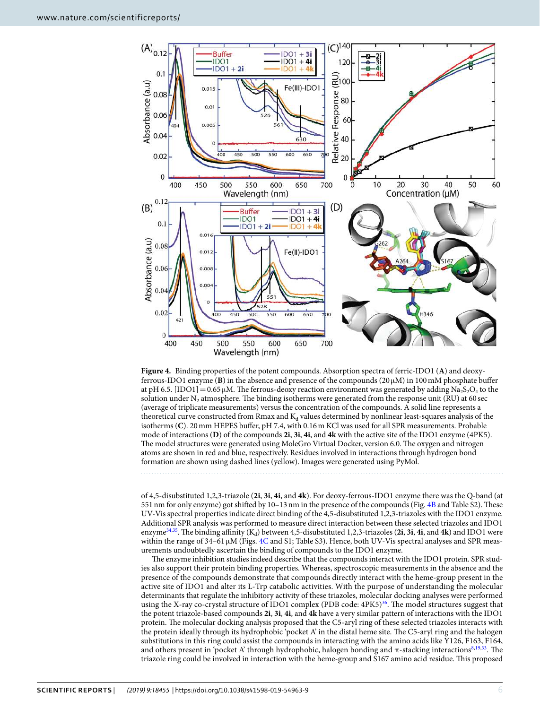

<span id="page-5-0"></span>**Figure 4.** Binding properties of the potent compounds. Absorption spectra of ferric-IDO1 (**A**) and deoxyferrous-IDO1 enzyme (**B**) in the absence and presence of the compounds ( $20 \mu$ M) in 100 mM phosphate buffer at pH 6.5. [IDO1] = 0.65  $\mu$ M. The ferrous-deoxy reaction environment was generated by adding Na<sub>2</sub>S<sub>2</sub>O<sub>4</sub> to the solution under  $N_2$  atmosphere. The binding isotherms were generated from the response unit (RU) at 60 sec (average of triplicate measurements) versus the concentration of the compounds. A solid line represents a theoretical curve constructed from Rmax and  $K_d$  values determined by nonlinear least-squares analysis of the isotherms (**C**). 20 mm HEPES buffer, pH 7.4, with 0.16 m KCl was used for all SPR measurements. Probable mode of interactions (**D**) of the compounds **2i**, **3i**, **4i**, and **4k** with the active site of the IDO1 enzyme (4PK5). The model structures were generated using MoleGro Virtual Docker, version 6.0. The oxygen and nitrogen atoms are shown in red and blue, respectively. Residues involved in interactions through hydrogen bond formation are shown using dashed lines (yellow). Images were generated using PyMol.

of 4,5-disubstituted 1,2,3-triazole (**2i**, **3i**, **4i**, and **4k**). For deoxy-ferrous-IDO1 enzyme there was the Q-band (at 551 nm for only enzyme) got shifted by 10–13 nm in the presence of the compounds (Fig. [4B](#page-5-0) and Table S2). These UV-Vis spectral properties indicate direct binding of the 4,5-disubstituted 1,2,3-triazoles with the IDO1 enzyme. Additional SPR analysis was performed to measure direct interaction between these selected triazoles and IDO1 enzyme<sup>[34](#page-14-8)[,35](#page-14-9)</sup>. The binding affinity (K<sub>d</sub>) between 4,5-disubstituted 1,2,3-triazoles (2i, 3i, 4i, and 4k) and IDO1 were within the range of 34–61 µM (Figs. [4C](#page-5-0) and S1; Table S3). Hence, both UV-Vis spectral analyses and SPR measurements undoubtedly ascertain the binding of compounds to the IDO1 enzyme.

The enzyme inhibition studies indeed describe that the compounds interact with the IDO1 protein. SPR studies also support their protein binding properties. Whereas, spectroscopic measurements in the absence and the presence of the compounds demonstrate that compounds directly interact with the heme-group present in the active site of IDO1 and alter its L-Trp catabolic activities. With the purpose of understanding the molecular determinants that regulate the inhibitory activity of these triazoles, molecular docking analyses were performed using the X-ray co-crystal structure of IDO1 complex (PDB code: 4PK5)<sup>[36](#page-14-10)</sup>. The model structures suggest that the potent triazole-based compounds **2i**, **3i**, **4i**, and **4k** have a very similar pattern of interactions with the IDO1 protein. The molecular docking analysis proposed that the C5-aryl ring of these selected triazoles interacts with the protein ideally through its hydrophobic 'pocket A' in the distal heme site. The C5-aryl ring and the halogen substitutions in this ring could assist the compounds in interacting with the amino acids like Y126, F163, F164, and others present in 'pocket A' through hydrophobic, halogen bonding and  $\pi$ -stacking interactions<sup>[8,](#page-13-2)[19,](#page-13-13)[33](#page-14-7)</sup>. The triazole ring could be involved in interaction with the heme-group and S167 amino acid residue. This proposed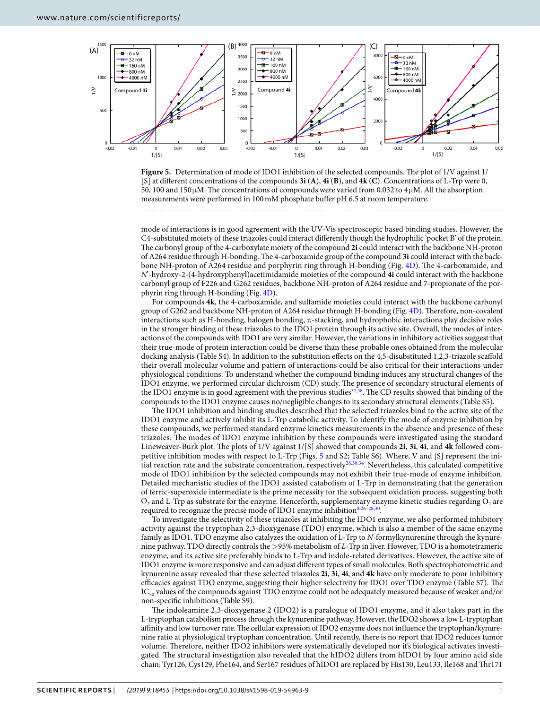

<span id="page-6-0"></span>

mode of interactions is in good agreement with the UV-Vis spectroscopic based binding studies. However, the C4-substituted moiety of these triazoles could interact differently though the hydrophilic 'pocket B' of the protein. The carbonyl group of the 4-carboxylate moiety of the compound **2i** could interact with the backbone NH-proton of A264 residue through H-bonding. The 4-carboxamide group of the compound **3i** could interact with the backbone NH-proton of A264 residue and porphyrin ring through H-bonding (Fig. [4D](#page-5-0)). The 4-carboxamide, and N'-hydroxy-2-(4-hydroxyphenyl)acetimidamide moieties of the compound **4i** could interact with the backbone carbonyl group of F226 and G262 residues, backbone NH-proton of A264 residue and 7-propionate of the porphyrin ring through H-bonding (Fig. [4D\)](#page-5-0).

For compounds **4k**, the 4-carboxamide, and sulfamide moieties could interact with the backbone carbonyl group of G262 and backbone NH-proton of A264 residue through H-bonding (Fig. [4D](#page-5-0)). Therefore, non-covalent interactions such as H-bonding, halogen bonding, π-stacking, and hydrophobic interactions play decisive roles in the stronger binding of these triazoles to the IDO1 protein through its active site. Overall, the modes of interactions of the compounds with IDO1 are very similar. However, the variations in inhibitory activities suggest that their true-mode of protein interaction could be diverse than these probable ones obtained from the molecular docking analysis (Table S4). In addition to the substitution effects on the 4,5-disubstituted 1,2,3-triazole scaffold their overall molecular volume and pattern of interactions could be also critical for their interactions under physiological conditions. To understand whether the compound binding induces any structural changes of the IDO1 enzyme, we performed circular dichroism (CD) study. The presence of secondary structural elements of the IDO1 enzyme is in good agreement with the previous studies<sup>[37](#page-14-11)[,38](#page-14-12)</sup>. The CD results showed that binding of the compounds to the IDO1 enzyme causes no/negligible changes to its secondary structural elements (Table S5).

The IDO1 inhibition and binding studies described that the selected triazoles bind to the active site of the IDO1 enzyme and actively inhibit its L-Trp catabolic activity. To identify the mode of enzyme inhibition by these compounds, we performed standard enzyme kinetics measurements in the absence and presence of these triazoles. The modes of IDO1 enzyme inhibition by these compounds were investigated using the standard Lineweaver-Burk plot. The plots of 1/V against 1/[S] showed that compounds **2i**, **3i**, **4i**, and **4k** followed competitive inhibition modes with respect to L-Trp (Figs. [5](#page-6-0) and S2; Table S6). Where, V and [S] represent the initial reaction rate and the substrate concentration, respectively[28](#page-14-13),[30](#page-14-2),[34](#page-14-8). Nevertheless, this calculated competitive mode of IDO1 inhibition by the selected compounds may not exhibit their true-mode of enzyme inhibition. Detailed mechanistic studies of the IDO1 assisted catabolism of L-Trp in demonstrating that the generation of ferric-superoxide intermediate is the prime necessity for the subsequent oxidation process, suggesting both  $\mathrm{O}_2$  and L-Trp as substrate for the enzyme. Henceforth, supplementary enzyme kinetic studies regarding  $\mathrm{O}_2$  are required to recognize the precise mode of IDO1 enzyme inhibition[8](#page-13-2),[26](#page-14-1)-.

To investigate the selectivity of these triazoles at inhibiting the IDO1 enzyme, we also performed inhibitory activity against the tryptophan 2,3-dioxygenase (TDO) enzyme, which is also a member of the same enzyme family as IDO1. TDO enzyme also catalyzes the oxidation of L-Trp to N-formylkynurenine through the kynurenine pathway. TDO directly controls the >95% metabolism of L-Trp in liver. However, TDO is a homotetrameric enzyme, and its active site preferably binds to L-Trp and indole-related derivatives. However, the active site of IDO1 enzyme is more responsive and can adjust different types of small molecules. Both spectrophotometric and kynurenine assay revealed that these selected triazoles **2i**, **3i**, **4i**, and **4k** have only moderate to poor inhibitory efficacies against TDO enzyme, suggesting their higher selectivity for IDO1 over TDO enzyme (Table S7). The  $IC_{50}$  values of the compounds against TDO enzyme could not be adequately measured because of weaker and/or non-specific inhibitions (Table S9).

The indoleamine 2,3-dioxygenase 2 (IDO2) is a paralogue of IDO1 enzyme, and it also takes part in the L-tryptophan catabolism process through the kynurenine pathway. However, the IDO2 shows a low L-tryptophan affinity and low turnover rate. The cellular expression of IDO2 enzyme does not influence the tryptophan/kynurenine ratio at physiological tryptophan concentration. Until recently, there is no report that IDO2 reduces tumor volume. Therefore, neither IDO2 inhibitors were systematically developed nor it's biological activates investigated. The structural investigation also revealed that the hIDO2 differs from hIDO1 by four amino acid side chain: Tyr126, Cys129, Phe164, and Ser167 residues of hIDO1 are replaced by His130, Leu133, Ile168 and Thr171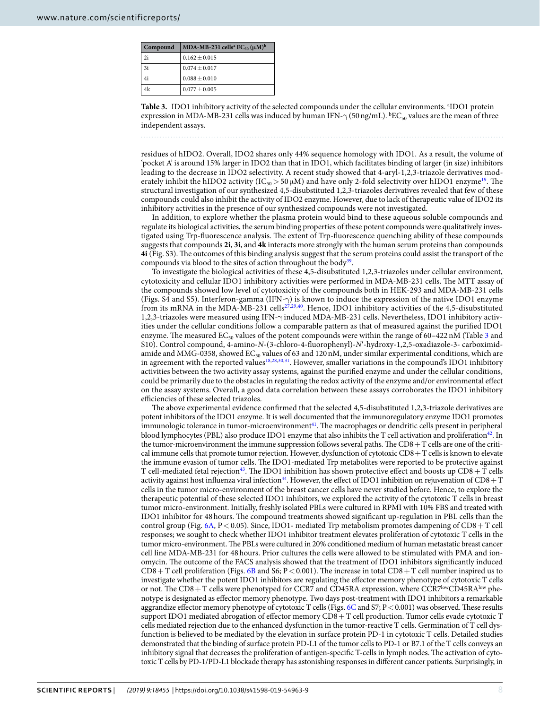<span id="page-7-0"></span>

| Compound      | MDA-MB-231 cells <sup>a</sup> EC <sub>50</sub> ( $\mu$ M) <sup>b</sup> |
|---------------|------------------------------------------------------------------------|
| 2i            | $0.162 + 0.015$                                                        |
| <sup>3i</sup> | $0.074 \pm 0.017$                                                      |
| 4i            | $0.088 \pm 0.010$                                                      |
| 4k            | $0.077 \pm 0.005$                                                      |

Table 3. IDO1 inhibitory activity of the selected compounds under the cellular environments. <sup>a</sup>IDO1 protein expression in MDA-MB-231 cells was induced by human IFN- $\gamma$  (50 ng/mL).  ${^b}EC_{50}$  values are the mean of three independent assays.

residues of hIDO2. Overall, IDO2 shares only 44% sequence homology with IDO1. As a result, the volume of 'pocket A' is around 15% larger in IDO2 than that in IDO1, which facilitates binding of larger (in size) inhibitors leading to the decrease in IDO2 selectivity. A recent study showed that 4-aryl-1,2,3-triazole derivatives moderately inhibit the hIDO2 activity (IC<sub>50</sub> > 50  $\mu$ M) and have only 2-fold selectivity over hIDO1 enzyme<sup>[19](#page-13-13)</sup>. The structural investigation of our synthesized 4,5-disubstituted 1,2,3-triazoles derivatives revealed that few of these compounds could also inhibit the activity of IDO2 enzyme. However, due to lack of therapeutic value of IDO2 its inhibitory activities in the presence of our synthesized compounds were not investigated.

In addition, to explore whether the plasma protein would bind to these aqueous soluble compounds and regulate its biological activities, the serum binding properties of these potent compounds were qualitatively investigated using Trp-fluorescence analysis. The extent of Trp-fluorescence quenching ability of these compounds suggests that compounds **2i**, **3i**, and **4k** interacts more strongly with the human serum proteins than compounds **4i** (Fig. S3). The outcomes of this binding analysis suggest that the serum proteins could assist the transport of the compounds via blood to the sites of action throughout the body<sup>[39](#page-14-14)</sup>.

To investigate the biological activities of these 4,5-disubstituted 1,2,3-triazoles under cellular environment, cytotoxicity and cellular IDO1 inhibitory activities were performed in MDA-MB-231 cells. The MTT assay of the compounds showed low level of cytotoxicity of the compounds both in HEK-293 and MDA-MB-231 cells (Figs. S4 and S5). Interferon-gamma (IFN-γ) is known to induce the expression of the native IDO1 enzyme from its mRNA in the MDA-MB-231 cells<sup>[27,](#page-14-4)[29](#page-14-5)[,40](#page-14-15)</sup>. Hence, IDO1 inhibitory activities of the 4,5-disubstituted 1,2,3-triazoles were measured using IFN-γ induced MDA-MB-231 cells. Nevertheless, IDO1 inhibitory activities under the cellular conditions follow a comparable pattern as that of measured against the purified IDO1 enzyme. The measured  $EC_{50}$  values of the potent compounds were within the range of 60–422 nM (Table [3](#page-7-0) and S10). Control compound, 4-amino-N-(3-chloro-4-fluorophenyl)-N′-hydroxy-1,2,5-oxadiazole-3- carboximidamide and MMG-0358, showed  $EC_{50}$  values of 63 and 120 nM, under similar experimental conditions, which are in agreement with the reported values<sup>[18](#page-13-12),[28](#page-14-13),[30](#page-14-2),[31](#page-14-3)</sup>. However, smaller variations in the compound's IDO1 inhibitory activities between the two activity assay systems, against the purified enzyme and under the cellular conditions, could be primarily due to the obstacles in regulating the redox activity of the enzyme and/or environmental effect on the assay systems. Overall, a good data correlation between these assays corroborates the IDO1 inhibitory efficiencies of these selected triazoles.

The above experimental evidence confirmed that the selected 4,5-disubstituted 1,2,3-triazole derivatives are potent inhibitors of the IDO1 enzyme. It is well documented that the immunoregulatory enzyme IDO1 promotes immunologic tolerance in tumor-microenvironment<sup>[41](#page-14-16)</sup>. The macrophages or dendritic cells present in peripheral blood lymphocytes (PBL) also produce IDO1 enzyme that also inhibits the T cell activation and proliferation<sup>[42](#page-14-17)</sup>. In the tumor-microenvironment the immune suppression follows several paths. The CD8 + T cells are one of the critical immune cells that promote tumor rejection. However, dysfunction of cytotoxic  $CD8 + T$  cells is known to elevate the immune evasion of tumor cells. The IDO1-mediated Trp metabolites were reported to be protective against T cell-mediated fetal rejection[43](#page-14-18). The IDO1 inhibition has shown protective effect and boosts up CD8 + T cells activity against host influenza viral infection<sup>[44](#page-14-19)</sup>. However, the effect of IDO1 inhibition on rejuvenation of  $CD8 + T$ cells in the tumor micro-environment of the breast cancer cells have never studied before. Hence, to explore the therapeutic potential of these selected IDO1 inhibitors, we explored the activity of the cytotoxic T cells in breast tumor micro-environment. Initially, freshly isolated PBLs were cultured in RPMI with 10% FBS and treated with IDO1 inhibitor for 48 hours. The compound treatments showed significant up-regulation in PBL cells than the control group (Fig.  $6A$ , P < 0.05). Since, IDO1- mediated Trp metabolism promotes dampening of CD8 + T cell responses; we sought to check whether IDO1 inhibitor treatment elevates proliferation of cytotoxic T cells in the tumor micro-environment. The PBLs were cultured in 20% conditioned medium of human metastatic breast cancer cell line MDA-MB-231 for 48 hours. Prior cultures the cells were allowed to be stimulated with PMA and ionomycin. The outcome of the FACS analysis showed that the treatment of IDO1 inhibitors significantly induced  $CD8 + T$  cell proliferation (Figs. [6B](#page-8-0) and S6; P < 0.001). The increase in total  $CD8 + T$  cell number inspired us to investigate whether the potent IDO1 inhibitors are regulating the effector memory phenotype of cytotoxic T cells or not. The CD8 + T cells were phenotyped for CCR7 and CD45RA expression, where CCR7<sup>low</sup>CD45RA<sup>low</sup> phenotype is designated as effector memory phenotype. Two days post-treatment with IDO1 inhibitors a remarkable aggrandize effector memory phenotype of cytotoxic T cells (Figs. [6C](#page-8-0) and S7; P < 0.001) was observed. These results support IDO1 mediated abrogation of effector memory CD8 + T cell production. Tumor cells evade cytotoxic T cells mediated rejection due to the enhanced dysfunction in the tumor-reactive T cells. Germination of T cell dysfunction is believed to be mediated by the elevation in surface protein PD-1 in cytotoxic T cells. Detailed studies demonstrated that the binding of surface protein PD-L1 of the tumor cells to PD-1 or B7.1 of the T cells conveys an inhibitory signal that decreases the proliferation of antigen-specific T-cells in lymph nodes. The activation of cytotoxic T cells by PD-1/PD-L1 blockade therapy has astonishing responses in different cancer patients. Surprisingly, in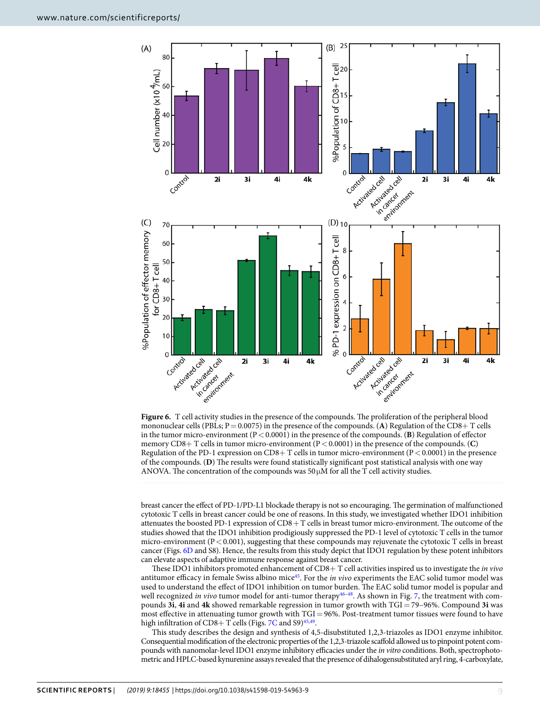

<span id="page-8-0"></span>**Figure 6.** T cell activity studies in the presence of the compounds. The proliferation of the peripheral blood mononuclear cells (PBLs;  $P = 0.0075$ ) in the presence of the compounds. (A) Regulation of the CD8+ T cells in the tumor micro-environment (P < 0.0001) in the presence of the compounds. (**B**) Regulation of effector memory CD8+ T cells in tumor micro-environment (P < 0.0001) in the presence of the compounds. (**C**) Regulation of the PD-1 expression on CD8+ T cells in tumor micro-environment (P < 0.0001) in the presence of the compounds. (**D**) The results were found statistically significant post statistical analysis with one way ANOVA. The concentration of the compounds was  $50 \mu$ M for all the T cell activity studies.

breast cancer the effect of PD-1/PD-L1 blockade therapy is not so encouraging. The germination of malfunctioned cytotoxic T cells in breast cancer could be one of reasons. In this study, we investigated whether IDO1 inhibition attenuates the boosted PD-1 expression of CD8 + T cells in breast tumor micro-environment. The outcome of the studies showed that the IDO1 inhibition prodigiously suppressed the PD-1 level of cytotoxic T cells in the tumor micro-environment ( $P < 0.001$ ), suggesting that these compounds may rejuvenate the cytotoxic T cells in breast cancer (Figs. [6D](#page-8-0) and S8). Hence, the results from this study depict that IDO1 regulation by these potent inhibitors can elevate aspects of adaptive immune response against breast cancer.

These IDO1 inhibitors promoted enhancement of CD8+ T cell activities inspired us to investigate the in vivo antitumor efficacy in female Swiss albino mice<sup>[45](#page-14-20)</sup>. For the in vivo experiments the EAC solid tumor model was used to understand the effect of IDO1 inhibition on tumor burden. The EAC solid tumor model is popular and well recognized in vivo tumor model for anti-tumor therapy<sup>[46](#page-14-21)-[48](#page-14-22)</sup>. As shown in Fig. [7](#page-9-0), the treatment with compounds **3i**, **4i** and **4k** showed remarkable regression in tumor growth with TGI = 79–96%. Compound **3i** was most effective in attenuating tumor growth with TGI = 96%. Post-treatment tumor tissues were found to have high infiltration of CD8+ T cells (Figs. [7C](#page-9-0) and S9)<sup>[45](#page-14-20),[49](#page-14-23)</sup>.

This study describes the design and synthesis of 4,5-disubstituted 1,2,3-triazoles as IDO1 enzyme inhibitor. Consequential modification of the electronic properties of the 1,2,3-triazole scaffold allowed us to pinpoint potent compounds with nanomolar-level IDO1 enzyme inhibitory efficacies under the in vitro conditions. Both, spectrophotometric and HPLC-based kynurenine assays revealed that the presence of dihalogensubstituted aryl ring, 4-carboxylate,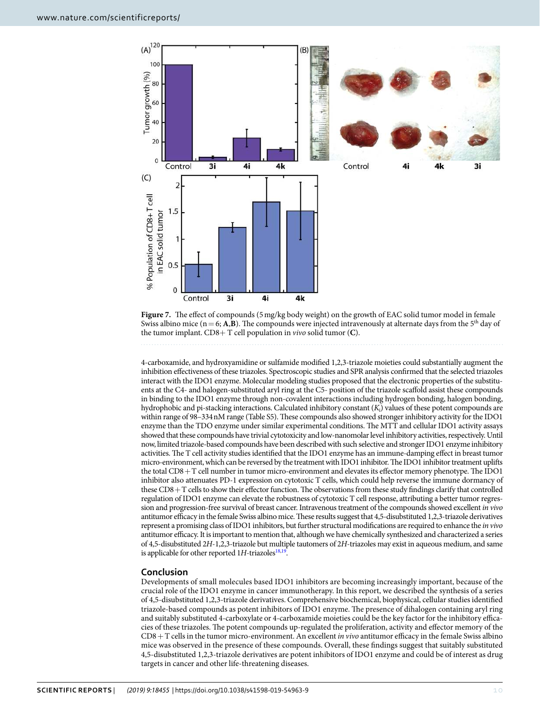

<span id="page-9-0"></span>**Figure 7.** The effect of compounds (5 mg/kg body weight) on the growth of EAC solid tumor model in female Swiss albino mice ( $n = 6$ ; A,B). The compounds were injected intravenously at alternate days from the 5<sup>th</sup> day of the tumor implant. CD8+ T cell population in vivo solid tumor (**C**).

4-carboxamide, and hydroxyamidine or sulfamide modified 1,2,3-triazole moieties could substantially augment the inhibition effectiveness of these triazoles. Spectroscopic studies and SPR analysis confirmed that the selected triazoles interact with the IDO1 enzyme. Molecular modeling studies proposed that the electronic properties of the substituents at the C4- and halogen-substituted aryl ring at the C5- position of the triazole scaffold assist these compounds in binding to the IDO1 enzyme through non-covalent interactions including hydrogen bonding, halogen bonding, hydrophobic and pi-stacking interactions. Calculated inhibitory constant  $(K_i)$  values of these potent compounds are within range of 98–334 nM range (Table S5). These compounds also showed stronger inhibitory activity for the IDO1 enzyme than the TDO enzyme under similar experimental conditions. The MTT and cellular IDO1 activity assays showed that these compounds have trivial cytotoxicity and low-nanomolar level inhibitory activities, respectively. Until now, limited triazole-based compounds have been described with such selective and stronger IDO1 enzyme inhibitory activities. The T cell activity studies identified that the IDO1 enzyme has an immune-damping effect in breast tumor micro-environment, which can be reversed by the treatment with IDO1 inhibitor. The IDO1 inhibitor treatment uplifts the total CD8 + T cell number in tumor micro-environment and elevates its effector memory phenotype. The IDO1 inhibitor also attenuates PD-1 expression on cytotoxic T cells, which could help reverse the immune dormancy of these CD8 + T cells to show their effector function. The observations from these study findings clarify that controlled regulation of IDO1 enzyme can elevate the robustness of cytotoxic T cell response, attributing a better tumor regression and progression-free survival of breast cancer. Intravenous treatment of the compounds showed excellent in vivo antitumor efficacy in the female Swiss albino mice. These results suggest that 4,5-disubstituted 1,2,3-triazole derivatives represent a promising class of IDO1 inhibitors, but further structural modifications are required to enhance the in vivo antitumor efficacy. It is important to mention that, although we have chemically synthesized and characterized a series of 4,5-disubstituted 2H-1,2,3-triazole but multiple tautomers of 2H-triazoles may exist in aqueous medium, and same is applicable for other reported  $1H$ -triazoles<sup>[18](#page-13-12)[,19](#page-13-13)</sup>.

# **Conclusion**

Developments of small molecules based IDO1 inhibitors are becoming increasingly important, because of the crucial role of the IDO1 enzyme in cancer immunotherapy. In this report, we described the synthesis of a series of 4,5-disubstituted 1,2,3-triazole derivatives. Comprehensive biochemical, biophysical, cellular studies identified triazole-based compounds as potent inhibitors of IDO1 enzyme. The presence of dihalogen containing aryl ring and suitably substituted 4-carboxylate or 4-carboxamide moieties could be the key factor for the inhibitory efficacies of these triazoles. The potent compounds up-regulated the proliferation, activity and effector memory of the  $CD8 + T$  cells in the tumor micro-environment. An excellent *in vivo* antitumor efficacy in the female Swiss albino mice was observed in the presence of these compounds. Overall, these findings suggest that suitably substituted 4,5-disubstituted 1,2,3-triazole derivatives are potent inhibitors of IDO1 enzyme and could be of interest as drug targets in cancer and other life-threatening diseases.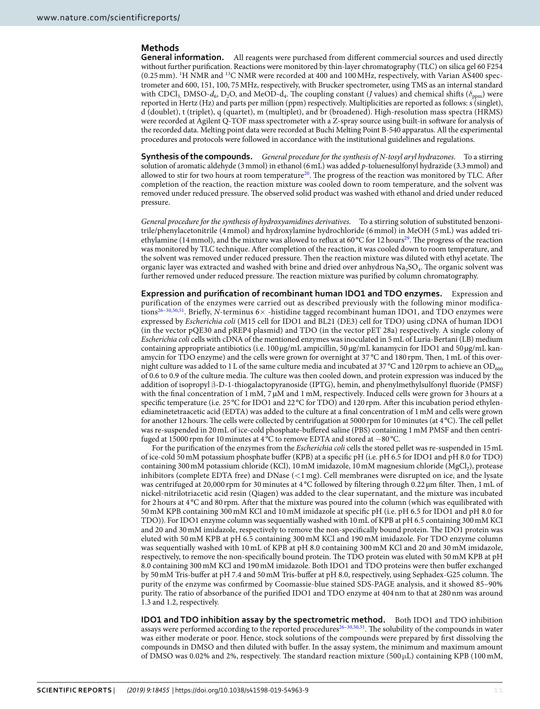## **Methods**

**General information.** All reagents were purchased from different commercial sources and used directly without further purification. Reactions were monitored by thin-layer chromatography (TLC) on silica gel 60 F254 (0.25 mm). 1H NMR and 13C NMR were recorded at 400 and 100 MHz, respectively, with Varian AS400 spectrometer and 600, 151, 100, 75 MHz, respectively, with Brucker spectrometer, using TMS as an internal standard with CDCl<sub>3,</sub> DMSO- $d_6$ , D<sub>2</sub>O, and MeOD- $d_4$ . The coupling constant (*J* values) and chemical shifts ( $\delta_{ppm}$ ) were reported in Hertz (Hz) and parts per million (ppm) respectively. Multiplicities are reported as follows: s (singlet), d (doublet), t (triplet), q (quartet), m (multiplet), and br (broadened). High-resolution mass spectra (HRMS) were recorded at Agilent Q-TOF mass spectrometer with a Z-spray source using built-in software for analysis of the recorded data. Melting point data were recorded at Buchi Melting Point B-540 apparatus. All the experimental procedures and protocols were followed in accordance with the institutional guidelines and regulations.

**Synthesis of the compounds.** General procedure for the synthesis of N-tosyl aryl hydrazones. To a stirring solution of aromatic aldehyde (3 mmol) in ethanol (6 mL) was added p-toluenesulfonyl hydrazide (3.3 mmol) and allowed to stir for two hours at room temperature<sup>[20](#page-13-14)</sup>. The progress of the reaction was monitored by TLC. After completion of the reaction, the reaction mixture was cooled down to room temperature, and the solvent was removed under reduced pressure. The observed solid product was washed with ethanol and dried under reduced pressure.

General procedure for the synthesis of hydroxyamidines derivatives. To a stirring solution of substituted benzonitrile/phenylacetonitrile (4 mmol) and hydroxylamine hydrochloride (6 mmol) in MeOH (5 mL) was added tri-ethylamine (14 mmol), and the mixture was allowed to reflux at 60 °C for 12 hours<sup>[29](#page-14-5)</sup>. The progress of the reaction was monitored by TLC technique. After completion of the reaction, it was cooled down to room temperature, and the solvent was removed under reduced pressure. Then the reaction mixture was diluted with ethyl acetate. The organic layer was extracted and washed with brine and dried over anhydrous  $\rm Na_2SO_4$ . The organic solvent was further removed under reduced pressure. The reaction mixture was purified by column chromatography.

**Expression and purification of recombinant human IDO1 and TDO enzymes.** Expression and purification of the enzymes were carried out as described previously with the following minor modifica-tions<sup>[26–](#page-14-1)[30](#page-14-2)[,50](#page-14-24)[,51](#page-14-25)</sup>. Briefly, N-terminus 6× -histidine tagged recombinant human IDO1, and TDO enzymes were expressed by Escherichia coli (M15 cell for IDO1 and BL21 (DE3) cell for TDO) using cDNA of human IDO1 (in the vector pQE30 and pREP4 plasmid) and TDO (in the vector pET 28a) respectively. A single colony of Escherichia coli cells with cDNA of the mentioned enzymes was inoculated in 5 mL of Luria-Bertani (LB) medium containing appropriate antibiotics (i.e. 100 µg/mL ampicillin, 50 µg/mL kanamycin for IDO1 and 50 µg/mL kanamycin for TDO enzyme) and the cells were grown for overnight at 37 °C and 180 rpm. Then, 1 mL of this overnight culture was added to 1 L of the same culture media and incubated at 37 °C and 120 rpm to achieve an OD<sub>600</sub> of 0.6 to 0.9 of the culture media. The culture was then cooled down, and protein expression was induced by the addition of isopropyl β-D-1-thiogalactopyranoside (IPTG), hemin, and phenylmethylsulfonyl fluoride (PMSF) with the final concentration of 1 mM, 7  $\mu$ M and 1 mM, respectively. Induced cells were grown for 3 hours at a specific temperature (i.e. 25 °C for IDO1 and 22 °C for TDO) and 120 rpm. After this incubation period ethylenediaminetetraacetic acid (EDTA) was added to the culture at a final concentration of 1 mM and cells were grown for another 12 hours. The cells were collected by centrifugation at 5000 rpm for 10 minutes (at 4 °C). The cell pellet was re-suspended in 20 mL of ice-cold phosphate-buffered saline (PBS) containing 1 mM PMSF and then centrifuged at 15000 rpm for 10 minutes at 4 °C to remove EDTA and stored at −80 °C.

For the purification of the enzymes from the Escherichia coli cells the stored pellet was re-suspended in 15 mL of ice-cold 50 mM potassium phosphate buffer (KPB) at a specific pH (i.e. pH 6.5 for IDO1 and pH 8.0 for TDO) containing 300 mM potassium chloride (KCl), 10 mM imidazole, 10 mM magnesium chloride (MgCl<sub>2</sub>), protease inhibitors (complete EDTA free) and DNase (<1 mg). Cell membranes were disrupted on ice, and the lysate was centrifuged at 20,000 rpm for 30 minutes at 4 °C followed by filtering through 0.22  $\mu$ m filter. Then, 1 mL of nickel-nitrilotriacetic acid resin (Qiagen) was added to the clear supernatant, and the mixture was incubated for 2 hours at 4 °C and 80 rpm. After that the mixture was poured into the column (which was equilibrated with 50 mM KPB containing 300 mM KCl and 10 mM imidazole at specific pH (i.e. pH 6.5 for IDO1 and pH 8.0 for TDO)). For IDO1 enzyme column was sequentially washed with 10 mL of KPB at pH 6.5 containing 300 mM KCl and 20 and 30 mM imidazole, respectively to remove the non-specifically bound protein. The IDO1 protein was eluted with 50 mM KPB at pH 6.5 containing 300 mM KCl and 190 mM imidazole. For TDO enzyme column was sequentially washed with 10 mL of KPB at pH 8.0 containing 300 mM KCl and 20 and 30 mM imidazole, respectively, to remove the non-specifically bound protein. The TDO protein was eluted with 50 mM KPB at pH 8.0 containing 300 mM KCl and 190 mM imidazole. Both IDO1 and TDO proteins were then buffer exchanged by 50 mM Tris-buffer at pH 7.4 and 50 mM Tris-buffer at pH 8.0, respectively, using Sephadex-G25 column. The purity of the enzyme was confirmed by Coomassie-blue stained SDS-PAGE analysis, and it showed 85–90% purity. The ratio of absorbance of the purified IDO1 and TDO enzyme at 404 nm to that at 280 nm was around 1.3 and 1.2, respectively.

**IDO1 and TDO inhibition assay by the spectrometric method.** Both IDO1 and TDO inhibition assays were performed according to the reported procedures<sup>[26–](#page-14-1)[30](#page-14-2),[50](#page-14-24),[51](#page-14-25)</sup>. The solubility of the compounds in water was either moderate or poor. Hence, stock solutions of the compounds were prepared by first dissolving the compounds in DMSO and then diluted with buffer. In the assay system, the minimum and maximum amount of DMSO was 0.02% and 2%, respectively. The standard reaction mixture (500 $\mu$ L) containing KPB (100 mM,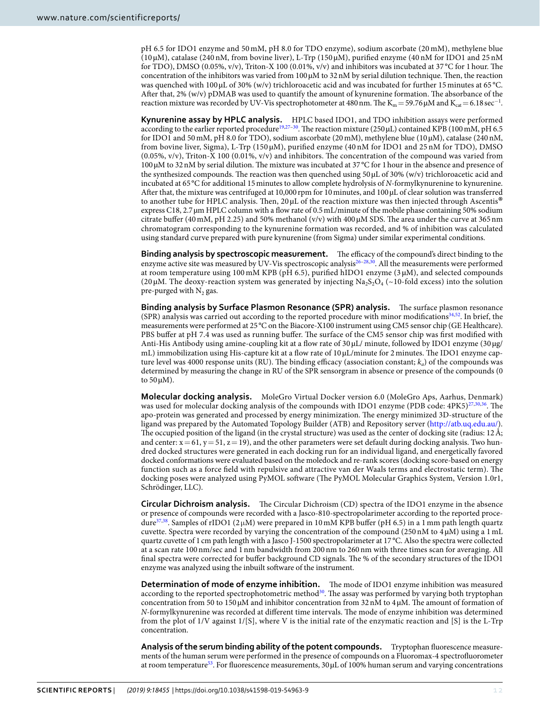pH 6.5 for IDO1 enzyme and 50 mM, pH 8.0 for TDO enzyme), sodium ascorbate (20 mM), methylene blue (10 µM), catalase (240 nM, from bovine liver), L-Trp (150 µM), purified enzyme (40 nM for IDO1 and 25 nM for TDO), DMSO (0.05%, v/v), Triton-X 100 (0.01%, v/v) and inhibitors was incubated at 37 °C for 1 hour. The concentration of the inhibitors was varied from  $100 \mu M$  to  $32 \text{ nM}$  by serial dilution technique. Then, the reaction was quenched with 100 µL of 30% (w/v) trichloroacetic acid and was incubated for further 15 minutes at 65 °C. After that, 2% (w/v) pDMAB was used to quantify the amount of kynurenine formation. The absorbance of the reaction mixture was recorded by UV-Vis spectrophotometer at 480 nm. The  $K_m = 59.76 \mu M$  and  $K_{cat} = 6.18 \text{ sec}^{-1}$ .

**Kynurenine assay by HPLC analysis.** HPLC based IDO1, and TDO inhibition assays were performed according to the earlier reported procedure<sup>[19](#page-13-13),[27](#page-14-4)-30</sup>. The reaction mixture (250 µL) contained KPB (100 mM, pH 6.5 for IDO1 and 50 mM, pH 8.0 for TDO), sodium ascorbate (20 mM), methylene blue (10 µM), catalase (240 nM, from bovine liver, Sigma), L-Trp (150 µM), purified enzyme (40 nM for IDO1 and 25 nM for TDO), DMSO (0.05%, v/v), Triton-X 100 (0.01%, v/v) and inhibitors. The concentration of the compound was varied from 100 µM to 32 nM by serial dilution. The mixture was incubated at 37 °C for 1 hour in the absence and presence of the synthesized compounds. The reaction was then quenched using  $50 \mu$ L of  $30\%$  (w/v) trichloroacetic acid and incubated at 65 °C for additional 15 minutes to allow complete hydrolysis of N-formylkynurenine to kynurenine. After that, the mixture was centrifuged at 10,000 rpm for 10 minutes, and 100 µL of clear solution was transferred to another tube for HPLC analysis. Then,  $20 \mu$ L of the reaction mixture was then injected through Ascentis® express C18, 2.7 µm HPLC column with a flow rate of 0.5 mL/minute of the mobile phase containing 50% sodium citrate buffer (40 mM, pH 2.25) and 50% methanol (v/v) with 400  $\mu$ M SDS. The area under the curve at 365 nm chromatogram corresponding to the kynurenine formation was recorded, and % of inhibition was calculated using standard curve prepared with pure kynurenine (from Sigma) under similar experimental conditions.

**Binding analysis by spectroscopic measurement.** The efficacy of the compound's direct binding to the enzyme active site was measured by UV-Vis spectroscopic analysis<sup>26-[28,](#page-14-13)[30](#page-14-2)</sup>. All the measurements were performed at room temperature using 100 mM KPB (pH 6.5), purified hIDO1 enzyme (3 µM), and selected compounds (20  $\mu$ M. The deoxy-reaction system was generated by injecting Na<sub>2</sub>S<sub>2</sub>O<sub>4</sub> (~10-fold excess) into the solution pre-purged with  $\mathrm{N}_2$  gas.

**Binding analysis by Surface Plasmon Resonance (SPR) analysis.** The surface plasmon resonance (SPR) analysis was carried out according to the reported procedure with minor modifications[34,](#page-14-8)[52](#page-14-26). In brief, the measurements were performed at 25 °C on the Biacore-X100 instrument using CM5 sensor chip (GE Healthcare). PBS buffer at pH 7.4 was used as running buffer. The surface of the CM5 sensor chip was first modified with Anti-His Antibody using amine-coupling kit at a flow rate of 30 µL/ minute, followed by IDO1 enzyme (30 µg/ mL) immobilization using His-capture kit at a flow rate of 10 µL/minute for 2 minutes. The IDO1 enzyme capture level was 4000 response units (RU). The binding efficacy (association constant;  $k_a$ ) of the compounds was determined by measuring the change in RU of the SPR sensorgram in absence or presence of the compounds (0 to  $50 \mu M$ ).

**Molecular docking analysis.** MoleGro Virtual Docker version 6.0 (MoleGro Aps, Aarhus, Denmark) was used for molecular docking analysis of the compounds with IDO1 enzyme (PDB code: 4PK5)<sup>[27](#page-14-4),[30,](#page-14-2)[36](#page-14-10)</sup>. The apo-protein was generated and processed by energy minimization. The energy minimized 3D-structure of the ligand was prepared by the Automated Topology Builder (ATB) and Repository server [\(http://atb.uq.edu.au/](http://atb.uq.edu.au/)). The occupied position of the ligand (in the crystal structure) was used as the center of docking site (radius: 12 Å; and center:  $x = 61$ ,  $y = 51$ ,  $z = 19$ ), and the other parameters were set default during docking analysis. Two hundred docked structures were generated in each docking run for an individual ligand, and energetically favored docked conformations were evaluated based on the moledock and re-rank scores (docking score-based on energy function such as a force field with repulsive and attractive van der Waals terms and electrostatic term). The docking poses were analyzed using PyMOL software (The PyMOL Molecular Graphics System, Version 1.0r1, Schrödinger, LLC).

**Circular Dichroism analysis.** The Circular Dichroism (CD) spectra of the IDO1 enzyme in the absence or presence of compounds were recorded with a Jasco-810-spectropolarimeter according to the reported proce-dure<sup>[37](#page-14-11)[,38](#page-14-12)</sup>. Samples of rIDO1 (2 $\mu$ M) were prepared in 10 mM KPB buffer (pH 6.5) in a 1 mm path length quartz cuvette. Spectra were recorded by varying the concentration of the compound (250 nM to  $4 \mu$ M) using a 1 mL quartz cuvette of 1 cm path length with a Jasco J-1500 spectropolarimeter at 17 °C. Also the spectra were collected at a scan rate 100 nm/sec and 1 nm bandwidth from 200 nm to 260 nm with three times scan for averaging. All final spectra were corrected for buffer background CD signals. The % of the secondary structures of the IDO1 enzyme was analyzed using the inbuilt software of the instrument.

**Determination of mode of enzyme inhibition.** The mode of IDO1 enzyme inhibition was measured according to the reported spectrophotometric method<sup>[30](#page-14-2)</sup>. The assay was performed by varying both tryptophan concentration from 50 to 150  $\mu$ M and inhibitor concentration from 32 nM to 4  $\mu$ M. The amount of formation of N-formylkynurenine was recorded at different time intervals. The mode of enzyme inhibition was determined from the plot of 1/V against 1/[S], where V is the initial rate of the enzymatic reaction and [S] is the L-Trp concentration.

**Analysis of the serum binding ability of the potent compounds.** Tryptophan fluorescence measurements of the human serum were performed in the presence of compounds on a Fluoromax-4 spectrofluorometer at room temperature<sup>[53](#page-14-27)</sup>. For fluorescence measurements,  $30 \mu$ L of 100% human serum and varying concentrations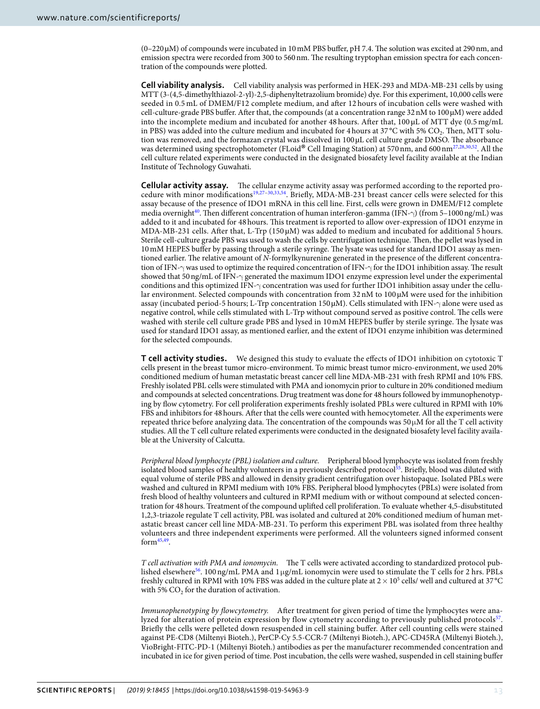(0–220 µM) of compounds were incubated in 10 mM PBS buffer, pH 7.4. The solution was excited at 290 nm, and emission spectra were recorded from 300 to 560 nm. The resulting tryptophan emission spectra for each concentration of the compounds were plotted.

**Cell viability analysis.** Cell viability analysis was performed in HEK-293 and MDA-MB-231 cells by using MTT (3-(4,5-dimethylthiazol-2-yl)-2,5-diphenyltetrazolium bromide) dye. For this experiment, 10,000 cells were seeded in 0.5 mL of DMEM/F12 complete medium, and after 12 hours of incubation cells were washed with cell-culture-grade PBS buffer. After that, the compounds (at a concentration range 32 nM to 100 µM) were added into the incomplete medium and incubated for another 48 hours. After that, 100 µL of MTT dye (0.5 mg/mL in PBS) was added into the culture medium and incubated for 4 hours at  $37^{\circ}$ C with 5% CO<sub>2</sub>. Then, MTT solu-tion was removed, and the formazan crystal was dissolved in 100 µL cell culture grade DMSO. [Th](#page-14-4)[e](#page-14-13) [ab](#page-14-2)[so](#page-14-26)rbance was determined using spectrophotometer (FLoid® Cell Imaging Station) at 570 nm, and 600 nm<sup>27,28,30,52</sup>. All the<br>cell sulture related arnoriments were conducted in the designated biosofoty layel fesility available at the I cell culture related experiments were conducted in the designated biosafety level facility available at the Indian Institute of Technology Guwahati.

**Cellular activity assay.** The cellular enzyme activity assay was performed according to the reported procedure with minor modifications[19](#page-13-13)[,27](#page-14-4)[–30](#page-14-2)[,33](#page-14-7),[54](#page-14-28). Briefly, MDA-MB-231 breast cancer cells were selected for this assay because of the presence of IDO1 mRNA in this cell line. First, cells were grown in DMEM/F12 complete media overnight<sup>[40](#page-14-15)</sup>. Then different concentration of human interferon-gamma (IFN- $\gamma$ ) (from 5–1000 ng/mL) was added to it and incubated for 48 hours. This treatment is reported to allow over-expression of IDO1 enzyme in MDA-MB-231 cells. After that, L-Trp (150 µM) was added to medium and incubated for additional 5 hours. Sterile cell-culture grade PBS was used to wash the cells by centrifugation technique. Then, the pellet was lysed in 10 mM HEPES buffer by passing through a sterile syringe. The lysate was used for standard IDO1 assay as mentioned earlier. The relative amount of N-formylkynurenine generated in the presence of the different concentration of IFN-γ was used to optimize the required concentration of IFN-γ for the IDO1 inhibition assay. The result showed that 50 ng/mL of IFN-γ generated the maximum IDO1 enzyme expression level under the experimental conditions and this optimized IFN-γ concentration was used for further IDO1 inhibition assay under the cellular environment. Selected compounds with concentration from 32 nM to 100  $\mu$ M were used for the inhibition assay (incubated period-5 hours; L-Trp concentration 150 µM). Cells stimulated with IFN-γ alone were used as negative control, while cells stimulated with L-Trp without compound served as positive control. The cells were washed with sterile cell culture grade PBS and lysed in 10 mM HEPES buffer by sterile syringe. The lysate was used for standard IDO1 assay, as mentioned earlier, and the extent of IDO1 enzyme inhibition was determined for the selected compounds.

**T cell activity studies.** We designed this study to evaluate the effects of IDO1 inhibition on cytotoxic T cells present in the breast tumor micro-environment. To mimic breast tumor micro-environment, we used 20% conditioned medium of human metastatic breast cancer cell line MDA-MB-231 with fresh RPMI and 10% FBS. Freshly isolated PBL cells were stimulated with PMA and ionomycin prior to culture in 20% conditioned medium and compounds at selected concentrations. Drug treatment was done for 48 hours followed by immunophenotyping by flow cytometry. For cell proliferation experiments freshly isolated PBLs were cultured in RPMI with 10% FBS and inhibitors for 48 hours. After that the cells were counted with hemocytometer. All the experiments were repeated thrice before analyzing data. The concentration of the compounds was  $50 \mu M$  for all the T cell activity studies. All the T cell culture related experiments were conducted in the designated biosafety level facility available at the University of Calcutta.

Peripheral blood lymphocyte (PBL) isolation and culture. Peripheral blood lymphocyte was isolated from freshly isolated blood samples of healthy volunteers in a previously described protocol<sup>[55](#page-14-29)</sup>. Briefly, blood was diluted with equal volume of sterile PBS and allowed in density gradient centrifugation over histopaque. Isolated PBLs were washed and cultured in RPMI medium with 10% FBS. Peripheral blood lymphocytes (PBLs) were isolated from fresh blood of healthy volunteers and cultured in RPMI medium with or without compound at selected concentration for 48 hours. Treatment of the compound uplifted cell proliferation. To evaluate whether 4,5-disubstituted 1,2,3-triazole regulate T cell activity, PBL was isolated and cultured at 20% conditioned medium of human metastatic breast cancer cell line MDA-MB-231. To perform this experiment PBL was isolated from three healthy volunteers and three independent experiments were performed. All the volunteers signed informed consent  $form<sup>45,49</sup>$  $form<sup>45,49</sup>$  $form<sup>45,49</sup>$  $form<sup>45,49</sup>$ .

T cell activation with PMA and ionomycin. The T cells were activated according to standardized protocol pub-lished elsewhere<sup>[56](#page-14-30)</sup>. 100 ng/mL PMA and 1 µg/mL ionomycin were used to stimulate the T cells for 2 hrs. PBLs freshly cultured in RPMI with 10% FBS was added in the culture plate at  $2 \times 10^5$  cells/ well and cultured at 37 °C with 5%  $CO<sub>2</sub>$  for the duration of activation.

Immunophenotyping by flowcytometry. After treatment for given period of time the lymphocytes were ana-lyzed for alteration of protein expression by flow cytometry according to previously published protocols<sup>[57](#page-14-31)</sup>. Briefly the cells were pelleted down resuspended in cell staining buffer. After cell counting cells were stained against PE-CD8 (Miltenyi Bioteh.), PerCP-Cy 5.5-CCR-7 (Miltenyi Bioteh.), APC-CD45RA (Miltenyi Bioteh.), VioBright-FITC-PD-1 (Miltenyi Bioteh.) antibodies as per the manufacturer recommended concentration and incubated in ice for given period of time. Post incubation, the cells were washed, suspended in cell staining buffer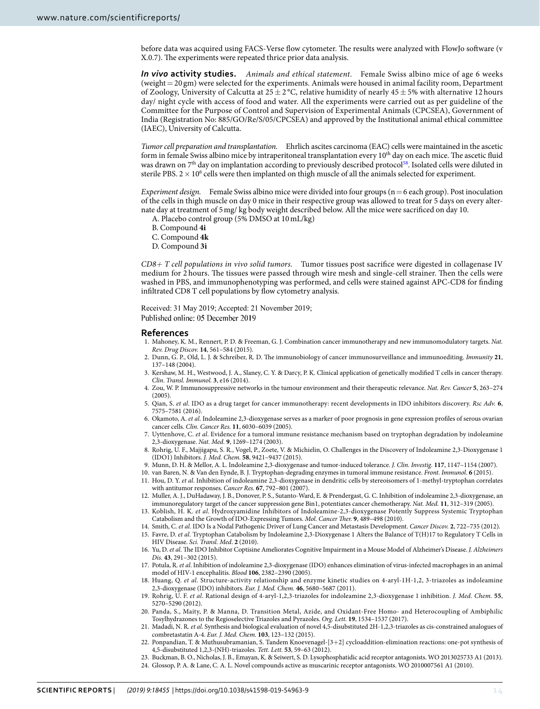before data was acquired using FACS-Verse flow cytometer. The results were analyzed with FlowJo software (v X.0.7). The experiments were repeated thrice prior data analysis.

*In vivo* **activity studies.** Animals and ethical statement. Female Swiss albino mice of age 6 weeks (weight = 20 gm) were selected for the experiments. Animals were housed in animal facility room, Department of Zoology, University of Calcutta at  $25 \pm 2$  °C, relative humidity of nearly  $45 \pm 5%$  with alternative 12 hours day/ night cycle with access of food and water. All the experiments were carried out as per guideline of the Committee for the Purpose of Control and Supervision of Experimental Animals (CPCSEA), Government of India (Registration No: 885/GO/Re/S/05/CPCSEA) and approved by the Institutional animal ethical committee (IAEC), University of Calcutta.

Tumor cell preparation and transplantation. Ehrlich ascites carcinoma (EAC) cells were maintained in the ascetic form in female Swiss albino mice by intraperitoneal transplantation every  $10<sup>th</sup>$  day on each mice. The ascetic fluid was drawn on  $7<sup>th</sup>$  day on implantation according to previously described protocol<sup>[58](#page-14-32)</sup>. Isolated cells were diluted in sterile PBS.  $2 \times 10^6$  cells were then implanted on thigh muscle of all the animals selected for experiment.

Experiment design. Female Swiss albino mice were divided into four groups ( $n = 6$  each group). Post inoculation of the cells in thigh muscle on day 0 mice in their respective group was allowed to treat for 5 days on every alternate day at treatment of 5 mg/ kg body weight described below. All the mice were sacrificed on day 10.

- A. Placebo control group (5% DMSO at 10 mL/kg)
- B. Compound **4i**
- C. Compound **4k**
- D. Compound **3i**

CD8*+* T cell populations in vivo solid tumors. Tumor tissues post sacrifice were digested in collagenase IV medium for 2 hours. The tissues were passed through wire mesh and single-cell strainer. Then the cells were washed in PBS, and immunophenotyping was performed, and cells were stained against APC-CD8 for finding infiltrated CD8 T cell populations by flow cytometry analysis.

Received: 31 May 2019; Accepted: 21 November 2019; Published online: 05 December 2019

#### **References**

- <span id="page-13-0"></span> 1. Mahoney, K. M., Rennert, P. D. & Freeman, G. J. Combination cancer immunotherapy and new immunomodulatory targets. Nat. Rev. Drug Discov. **14**, 561–584 (2015).
- 2. Dunn, G. P., Old, L. J. & Schreiber, R. D. The immunobiology of cancer immunosurveillance and immunoediting. Immunity **21**, 137–148 (2004).
- 3. Kershaw, M. H., Westwood, J. A., Slaney, C. Y. & Darcy, P. K. Clinical application of genetically modified T cells in cancer therapy. Clin. Transl. Immunol. **3**, e16 (2014).
- <span id="page-13-3"></span> 4. Zou, W. P. Immunosuppressive networks in the tumour environment and their therapeutic relevance. Nat. Rev. Cancer **5**, 263–274 (2005).
- <span id="page-13-1"></span> 5. Qian, S. et al. IDO as a drug target for cancer immunotherapy: recent developments in IDO inhibitors discovery. Rsc Adv. **6**, 7575–7581 (2016).
- <span id="page-13-6"></span> 6. Okamoto, A. et al. Indoleamine 2,3-dioxygenase serves as a marker of poor prognosis in gene expression profiles of serous ovarian cancer cells. Clin. Cancer Res. **11**, 6030–6039 (2005).
- <span id="page-13-7"></span> 7. Uyttenhove, C. et al. Evidence for a tumoral immune resistance mechanism based on tryptophan degradation by indoleamine 2,3-dioxygenase. Nat. Med. **9**, 1269–1274 (2003).
- <span id="page-13-2"></span> 8. Rohrig, U. F., Majjigapu, S. R., Vogel, P., Zoete, V. & Michielin, O. Challenges in the Discovery of Indoleamine 2,3-Dioxygenase 1 (IDO1) Inhibitors. J. Med. Chem. **58**, 9421–9437 (2015).
- <span id="page-13-4"></span>9. Munn, D. H. & Mellor, A. L. Indoleamine 2,3-dioxygenase and tumor-induced tolerance. J. Clin. Investig. **117**, 1147–1154 (2007).
- <span id="page-13-5"></span>10. van Baren, N. & Van den Eynde, B. J. Tryptophan-degrading enzymes in tumoral immune resistance. Front. Immunol. **6** (2015).
- <span id="page-13-8"></span> 11. Hou, D. Y. et al. Inhibition of indoleamine 2,3-dioxygenase in dendritic cells by stereoisomers of 1-methyl-tryptophan correlates with antitumor responses. Cancer Res. **67**, 792–801 (2007).
- 12. Muller, A. J., DuHadaway, J. B., Donover, P. S., Sutanto-Ward, E. & Prendergast, G. C. Inhibition of indoleamine 2,3-dioxygenase, an immunoregulatory target of the cancer suppression gene Bin1, potentiates cancer chemotherapy. Nat. Med. **11**, 312–319 (2005).
- 13. Koblish, H. K. et al. Hydroxyamidine Inhibitors of Indoleamine-2,3-dioxygenase Potently Suppress Systemic Tryptophan Catabolism and the Growth of IDO-Expressing Tumors. Mol. Cancer Ther. **9**, 489–498 (2010).
- <span id="page-13-9"></span>14. Smith, C. et al. IDO Is a Nodal Pathogenic Driver of Lung Cancer and Metastasis Development. Cancer Discov. **2**, 722–735 (2012).
- <span id="page-13-10"></span>15. Favre, D. et al. Tryptophan Catabolism by Indoleamine 2,3-Dioxygenase 1 Alters the Balance of T(H)17 to Regulatory T Cells in HIV Disease. Sci. Transl. Med. **2** (2010).
- 16. Yu, D. et al. The IDO Inhibitor Coptisine Ameliorates Cognitive Impairment in a Mouse Model of Alzheimer's Disease. J. Alzheimers Dis. **43**, 291–302 (2015).
- <span id="page-13-11"></span>17. Potula, R. et al. Inhibition of indoleamine 2,3-dioxygenase (IDO) enhances elimination of virus-infected macrophages in an animal model of HIV-1 encephalitis. Blood **106**, 2382–2390 (2005).
- <span id="page-13-12"></span> 18. Huang, Q. et al. Structure-activity relationship and enzyme kinetic studies on 4-aryl-1H-1,2, 3-triazoles as indoleamine 2,3-dioxygenase (IDO) inhibitors. Eur. J. Med. Chem. **46**, 5680–5687 (2011).
- <span id="page-13-13"></span> 19. Rohrig, U. F. et al. Rational design of 4-aryl-1,2,3-triazoles for indoleamine 2,3-dioxygenase 1 inhibition. J. Med. Chem. **55**, 5270–5290 (2012).
- <span id="page-13-14"></span> 20. Panda, S., Maity, P. & Manna, D. Transition Metal, Azide, and Oxidant-Free Homo- and Heterocoupling of Ambiphilic Tosylhydrazones to the Regioselective Triazoles and Pyrazoles. Org. Lett. **19**, 1534–1537 (2017).
- <span id="page-13-15"></span>21. Madadi, N. R. et al. Synthesis and biological evaluation of novel 4,5-disubstituted 2H-1,2,3-triazoles as cis-constrained analogues of combretastatin A-4. Eur. J. Med. Chem. **103**, 123–132 (2015).
- <span id="page-13-16"></span> 22. Ponpandian, T. & Muthusubramanian, S. Tandem Knoevenagel-[3+2] cycloaddition-elimination reactions: one-pot synthesis of 4,5-disubstituted 1,2,3-(NH)-triazoles. Tett. Lett. **53**, 59–63 (2012).
- <span id="page-13-17"></span>23. Buckman, B. O., Nicholas, J. B., Emayan, K. & Seiwert, S. D. Lysophosphatidic acid receptor antagonists. WO 2013025733 A1 (2013).
- <span id="page-13-18"></span>24. Glossop, P. A. & Lane, C. A. L. Novel compounds active as muscarinic receptor antagonists. WO 2010007561 A1 (2010).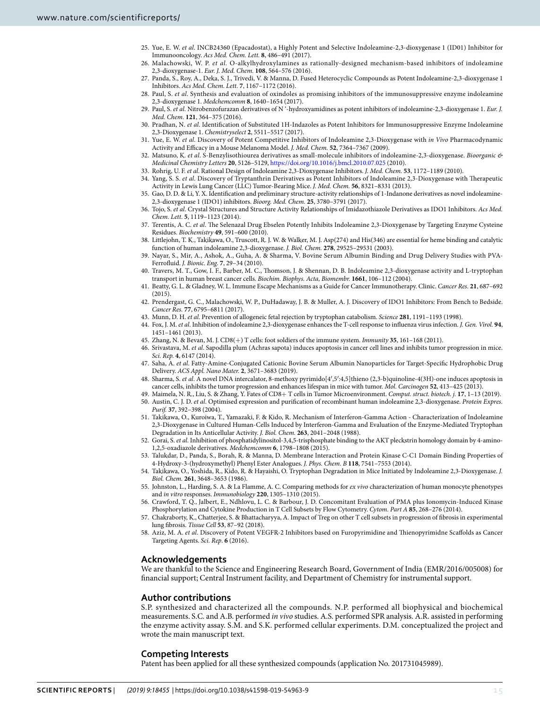- <span id="page-14-0"></span> 25. Yue, E. W. et al. INCB24360 (Epacadostat), a Highly Potent and Selective Indoleamine-2,3-dioxygenase 1 (ID01) Inhibitor for Immunooncology. Acs Med. Chem. Lett. **8**, 486–491 (2017).
- <span id="page-14-1"></span>26. Malachowski, W. P. et al. O-alkylhydroxylamines as rationally-designed mechanism-based inhibitors of indoleamine 2,3-dioxygenase-1. Eur. J. Med. Chem. **108**, 564–576 (2016).
- <span id="page-14-4"></span> 27. Panda, S., Roy, A., Deka, S. J., Trivedi, V. & Manna, D. Fused Heterocyclic Compounds as Potent Indoleamine-2,3-dioxygenase 1 Inhibitors. Acs Med. Chem. Lett. **7**, 1167–1172 (2016).
- <span id="page-14-13"></span>28. Paul, S. et al. Synthesis and evaluation of oxindoles as promising inhibitors of the immunosuppressive enzyme indoleamine 2,3-dioxygenase 1. Medchemcomm **8**, 1640–1654 (2017).
- <span id="page-14-5"></span>29. Paul, S. et al. Nitrobenzofurazan derivatives of N '-hydroxyamidines as potent inhibitors of indoleamine-2,3-dioxygenase 1. Eur. J. Med. Chem. **121**, 364–375 (2016).
- <span id="page-14-2"></span> 30. Pradhan, N. et al. Identification of Substituted 1H-Indazoles as Potent Inhibitors for Immunosuppressive Enzyme Indoleamine 2,3-Dioxygenase 1. Chemistryselect **2**, 5511–5517 (2017).
- <span id="page-14-3"></span> 31. Yue, E. W. et al. Discovery of Potent Competitive Inhibitors of Indoleamine 2,3-Dioxygenase with in Vivo Pharmacodynamic Activity and Efficacy in a Mouse Melanoma Model. J. Med. Chem. **52**, 7364–7367 (2009).
- <span id="page-14-6"></span>32. Matsuno, K. et al. S-Benzylisothiourea derivatives as small-molecule inhibitors of indoleamine-2,3-dioxygenase. Bioorganic & Medicinal Chemistry Letters **20**, 5126–5129,<https://doi.org/10.1016/j.bmcl.2010.07.025> (2010).
- <span id="page-14-7"></span>33. Rohrig, U. F. et al. Rational Design of Indoleamine 2,3-Dioxygenase Inhibitors. J. Med. Chem. **53**, 1172–1189 (2010).
- <span id="page-14-8"></span> 34. Yang, S. S. et al. Discovery of Tryptanthrin Derivatives as Potent Inhibitors of Indoleamine 2,3-Dioxygenase with Therapeutic Activity in Lewis Lung Cancer (LLC) Tumor-Bearing Mice. J. Med. Chem. **56**, 8321–8331 (2013).
- <span id="page-14-9"></span> 35. Gao, D. D. & Li, Y. X. Identification and preliminary structure-activity relationships of 1-Indanone derivatives as novel indoleamine-2,3-dioxygenase 1 (IDO1) inhibitors. Bioorg. Med. Chem. **25**, 3780–3791 (2017).
- <span id="page-14-10"></span>36. Tojo, S. et al. Crystal Structures and Structure Activity Relationships of Imidazothiazole Derivatives as IDO1 Inhibitors. Acs Med. Chem. Lett. **5**, 1119–1123 (2014).
- <span id="page-14-11"></span> 37. Terentis, A. C. et al. The Selenazal Drug Ebselen Potently Inhibits Indoleamine 2,3-Dioxygenase by Targeting Enzyme Cysteine Residues. Biochemistry **49**, 591–600 (2010).
- <span id="page-14-12"></span> 38. Littlejohn, T. K., Takikawa, O., Truscott, R. J. W. & Walker, M. J. Asp(274) and His(346) are essential for heme binding and catalytic function of human indoleamine 2,3-dioxygenase. J. Biol. Chem. **278**, 29525–29531 (2003).
- <span id="page-14-14"></span> 39. Nayar, S., Mir, A., Ashok, A., Guha, A. & Sharma, V. Bovine Serum Albumin Binding and Drug Delivery Studies with PVA-Ferrofluid. J. Bionic. Eng. **7**, 29–34 (2010).
- <span id="page-14-15"></span> 40. Travers, M. T., Gow, I. F., Barber, M. C., Thomson, J. & Shennan, D. B. Indoleamine 2,3-dioxygenase activity and L-tryptophan transport in human breast cancer cells. Biochim. Biophys. Acta, Biomembr. **1661**, 106–112 (2004).
- <span id="page-14-16"></span> 41. Beatty, G. L. & Gladney, W. L. Immune Escape Mechanisms as a Guide for Cancer Immunotherapy. Clinic. Cancer Res. **21**, 687–692 (2015).
- <span id="page-14-17"></span> 42. Prendergast, G. C., Malachowski, W. P., DuHadaway, J. B. & Muller, A. J. Discovery of IDO1 Inhibitors: From Bench to Bedside. Cancer Res. **77**, 6795–6811 (2017).
- <span id="page-14-18"></span>43. Munn, D. H. et al. Prevention of allogeneic fetal rejection by tryptophan catabolism. Science **281**, 1191–1193 (1998).
- <span id="page-14-19"></span> 44. Fox, J. M. et al. Inhibition of indoleamine 2,3-dioxygenase enhances the T-cell response to influenza virus infection. J. Gen. Virol. **94**, 1451–1461 (2013).
- <span id="page-14-20"></span>45. Zhang, N. & Bevan, M. J. CD8(+) T cells: foot soldiers of the immune system. Immunity **35**, 161–168 (2011).
- <span id="page-14-21"></span> 46. Srivastava, M. et al. Sapodilla plum (Achras sapota) induces apoptosis in cancer cell lines and inhibits tumor progression in mice. Sci. Rep. **4**, 6147 (2014).
- 47. Saha, A. et al. Fatty-Amine-Conjugated Cationic Bovine Serum Albumin Nanoparticles for Target-Specific Hydrophobic Drug Delivery. ACS Appl. Nano Mater. **2**, 3671–3683 (2019).
- <span id="page-14-22"></span>48. Sharma, S. et al. A novel DNA intercalator, 8-methoxy pyrimido[4',5':4,5]thieno (2,3-b)quinoline-4(3H)-one induces apoptosis in cancer cells, inhibits the tumor progression and enhances lifespan in mice with tumor. Mol. Carcinogen **52**, 413–425 (2013).
- <span id="page-14-24"></span><span id="page-14-23"></span> 49. Maimela, N. R., Liu, S. & Zhang, Y. Fates of CD8+ T cells in Tumor Microenvironment. Comput. struct. biotech. j. **17**, 1–13 (2019). 50. Austin, C. J. D. et al. Optimised expression and purification of recombinant human indoleamine 2,3-dioxygenase. Protein Expres. Purif. **37**, 392–398 (2004).
- <span id="page-14-25"></span> 51. Takikawa, O., Kuroiwa, T., Yamazaki, F. & Kido, R. Mechanism of Interferon-Gamma Action - Characterization of Indoleamine 2,3-Dioxygenase in Cultured Human-Cells Induced by Interferon-Gamma and Evaluation of the Enzyme-Mediated Tryptophan Degradation in Its Anticellular Activity. J. Biol. Chem. **263**, 2041–2048 (1988).
- <span id="page-14-26"></span> 52. Gorai, S. et al. Inhibition of phosphatidylinositol-3,4,5-trisphosphate binding to the AKT pleckstrin homology domain by 4-amino-1,2,5-oxadiazole derivatives. Medchemcomm **6**, 1798–1808 (2015).
- <span id="page-14-27"></span> 53. Talukdar, D., Panda, S., Borah, R. & Manna, D. Membrane Interaction and Protein Kinase C-C1 Domain Binding Properties of 4-Hydroxy-3-(hydroxymethyl) Phenyl Ester Analogues. J. Phys. Chem. B **118**, 7541–7553 (2014).
- <span id="page-14-28"></span> 54. Takikawa, O., Yoshida, R., Kido, R. & Hayaishi, O. Tryptophan Degradation in Mice Initiated by Indoleamine 2,3-Dioxygenase. J. Biol. Chem. **261**, 3648–3653 (1986).
- <span id="page-14-29"></span> 55. Johnston, L., Harding, S. A. & La Flamme, A. C. Comparing methods for ex vivo characterization of human monocyte phenotypes and in vitro responses. Immunobiology **220**, 1305–1310 (2015).
- <span id="page-14-30"></span> 56. Crawford, T. Q., Jalbert, E., Ndhlovu, L. C. & Barbour, J. D. Concomitant Evaluation of PMA plus Ionomycin-Induced Kinase Phosphorylation and Cytokine Production in T Cell Subsets by Flow Cytometry. Cytom. Part A **85**, 268–276 (2014).
- <span id="page-14-31"></span> 57. Chakraborty, K., Chatterjee, S. & Bhattacharyya, A. Impact of Treg on other T cell subsets in progression of fibrosis in experimental lung fibrosis. Tissue Cell **53**, 87–92 (2018).
- <span id="page-14-32"></span>Aziz, M. A. et al. Discovery of Potent VEGFR-2 Inhibitors based on Furopyrimidine and Thienopyrimidne Scaffolds as Cancer Targeting Agents. Sci. Rep. **6** (2016).

# **Acknowledgements**

We are thankful to the Science and Engineering Research Board, Government of India (EMR/2016/005008) for financial support; Central Instrument facility, and Department of Chemistry for instrumental support.

### **Author contributions**

S.P. synthesized and characterized all the compounds. N.P. performed all biophysical and biochemical measurements. S.C. and A.B. performed in vivo studies. A.S. performed SPR analysis. A.R. assisted in performing the enzyme activity assay. S.M. and S.K. performed cellular experiments. D.M. conceptualized the project and wrote the main manuscript text.

# **Competing Interests**

Patent has been applied for all these synthesized compounds (application No. 201731045989).